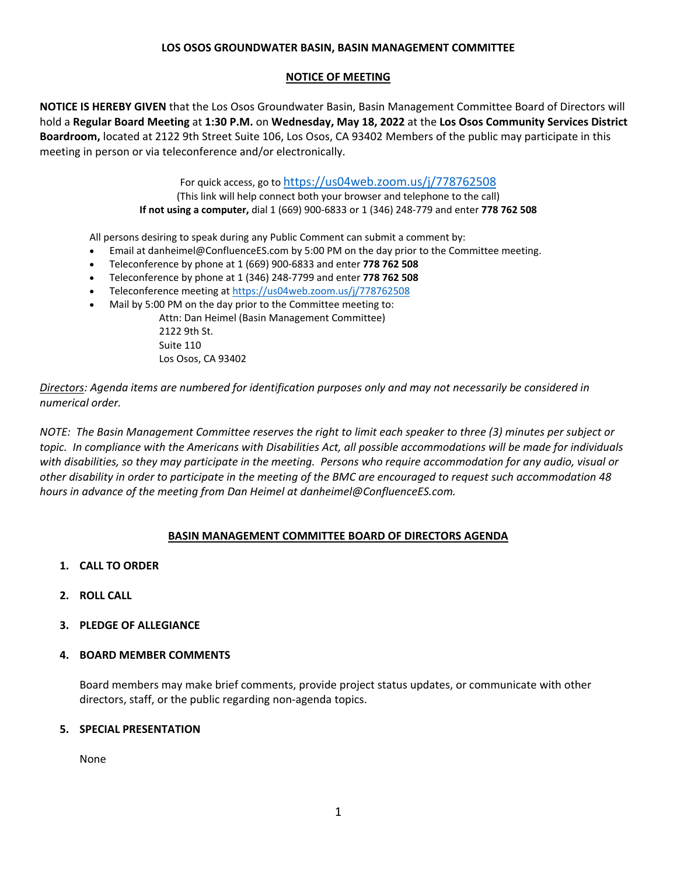#### **LOS OSOS GROUNDWATER BASIN, BASIN MANAGEMENT COMMITTEE**

#### **NOTICE OF MEETING**

**NOTICE IS HEREBY GIVEN** that the Los Osos Groundwater Basin, Basin Management Committee Board of Directors will hold a **Regular Board Meeting** at **1:30 P.M.** on **Wednesday, May 18, 2022** at the **Los Osos Community Services District Boardroom,** located at 2122 9th Street Suite 106, Los Osos, CA 93402 Members of the public may participate in this meeting in person or via teleconference and/or electronically.

For quick access, go to https://us04web.zoom.us/i/778762508

(This link will help connect both your browser and telephone to the call) **If not using a computer,** dial 1 (669) 900‐6833 or 1 (346) 248‐779 and enter **778 762 508**

All persons desiring to speak during any Public Comment can submit a comment by:

- Email at danheimel@ConfluenceES.com by 5:00 PM on the day prior to the Committee meeting.
- Teleconference by phone at 1 (669) 900‐6833 and enter **778 762 508**
- Teleconference by phone at 1 (346) 248‐7799 and enter **778 762 508**
- Teleconference meeting at https://us04web.zoom.us/j/778762508
- Mail by 5:00 PM on the day prior to the Committee meeting to:

Attn: Dan Heimel (Basin Management Committee) 2122 9th St. Suite 110 Los Osos, CA 93402

*Directors: Agenda items are numbered for identification purposes only and may not necessarily be considered in numerical order.*

NOTE: The Basin Management Committee reserves the right to limit each speaker to three (3) minutes per subject or topic. In compliance with the Americans with Disabilities Act, all possible accommodations will be made for individuals with disabilities, so they may participate in the meeting. Persons who require accommodation for any audio, visual or other disability in order to participate in the meeting of the BMC are encouraged to request such accommodation 48 *hours in advance of the meeting from Dan Heimel at danheimel@ConfluenceES.com.* 

## **BASIN MANAGEMENT COMMITTEE BOARD OF DIRECTORS AGENDA**

- **1. CALL TO ORDER**
- **2. ROLL CALL**
- **3. PLEDGE OF ALLEGIANCE**
- **4. BOARD MEMBER COMMENTS**

Board members may make brief comments, provide project status updates, or communicate with other directors, staff, or the public regarding non‐agenda topics.

#### **5. SPECIAL PRESENTATION**

None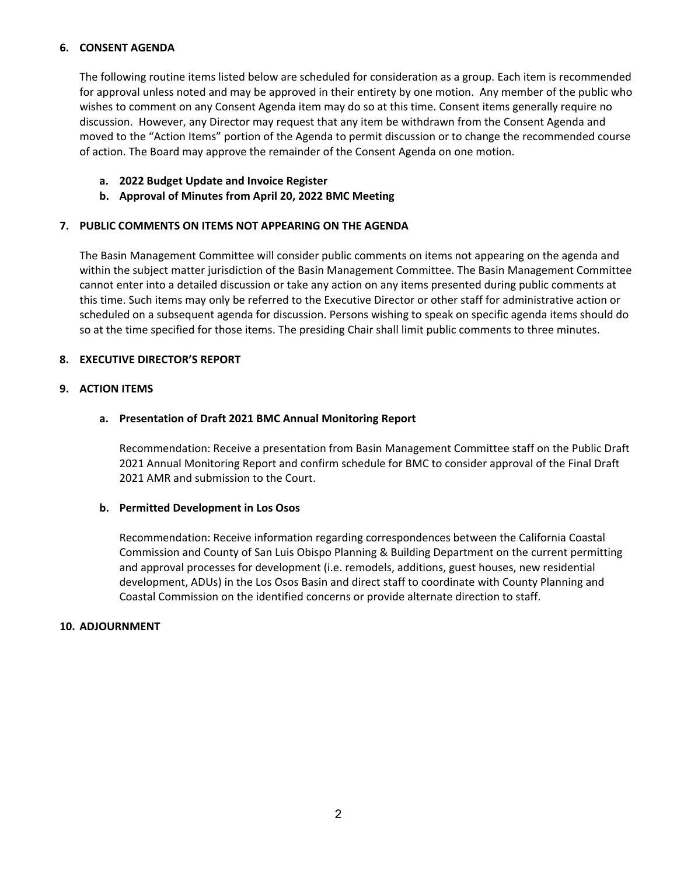#### **6. CONSENT AGENDA**

The following routine items listed below are scheduled for consideration as a group. Each item is recommended for approval unless noted and may be approved in their entirety by one motion. Any member of the public who wishes to comment on any Consent Agenda item may do so at this time. Consent items generally require no discussion. However, any Director may request that any item be withdrawn from the Consent Agenda and moved to the "Action Items" portion of the Agenda to permit discussion or to change the recommended course of action. The Board may approve the remainder of the Consent Agenda on one motion.

- **a. 2022 Budget Update and Invoice Register**
- **b. Approval of Minutes from April 20, 2022 BMC Meeting**

#### **7. PUBLIC COMMENTS ON ITEMS NOT APPEARING ON THE AGENDA**

The Basin Management Committee will consider public comments on items not appearing on the agenda and within the subject matter jurisdiction of the Basin Management Committee. The Basin Management Committee cannot enter into a detailed discussion or take any action on any items presented during public comments at this time. Such items may only be referred to the Executive Director or other staff for administrative action or scheduled on a subsequent agenda for discussion. Persons wishing to speak on specific agenda items should do so at the time specified for those items. The presiding Chair shall limit public comments to three minutes.

## **8. EXECUTIVE DIRECTOR'S REPORT**

## **9. ACTION ITEMS**

## **a. Presentation of Draft 2021 BMC Annual Monitoring Report**

Recommendation: Receive a presentation from Basin Management Committee staff on the Public Draft 2021 Annual Monitoring Report and confirm schedule for BMC to consider approval of the Final Draft 2021 AMR and submission to the Court.

#### **b. Permitted Development in Los Osos**

Recommendation: Receive information regarding correspondences between the California Coastal Commission and County of San Luis Obispo Planning & Building Department on the current permitting and approval processes for development (i.e. remodels, additions, guest houses, new residential development, ADUs) in the Los Osos Basin and direct staff to coordinate with County Planning and Coastal Commission on the identified concerns or provide alternate direction to staff.

#### **10. ADJOURNMENT**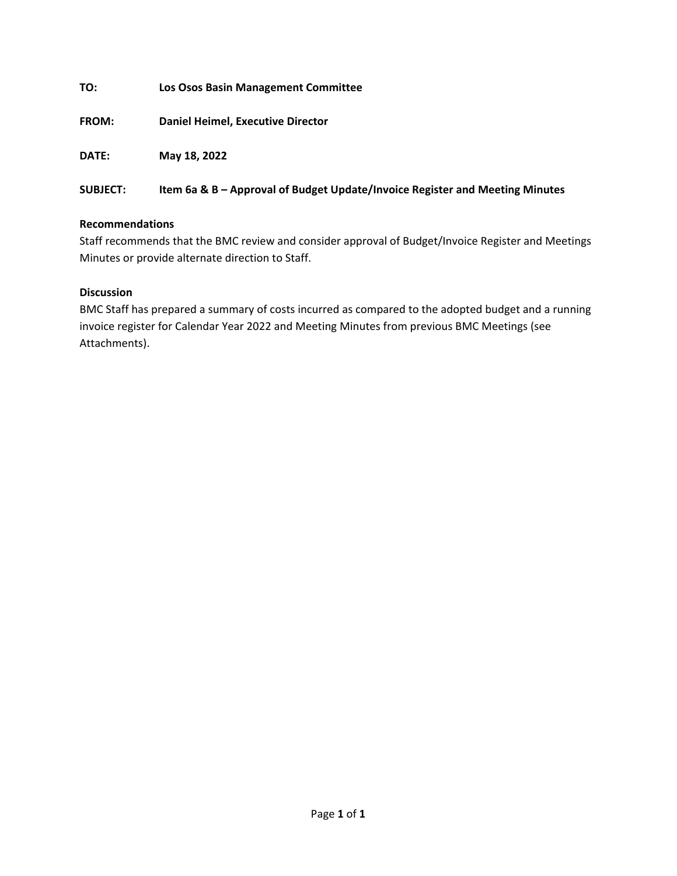**TO: Los Osos Basin Management Committee**

**FROM: Daniel Heimel, Executive Director**

**DATE: May 18, 2022**

#### **SUBJECT: Item 6a & B – Approval of Budget Update/Invoice Register and Meeting Minutes**

#### **Recommendations**

Staff recommends that the BMC review and consider approval of Budget/Invoice Register and Meetings Minutes or provide alternate direction to Staff.

## **Discussion**

BMC Staff has prepared a summary of costs incurred as compared to the adopted budget and a running invoice register for Calendar Year 2022 and Meeting Minutes from previous BMC Meetings (see Attachments).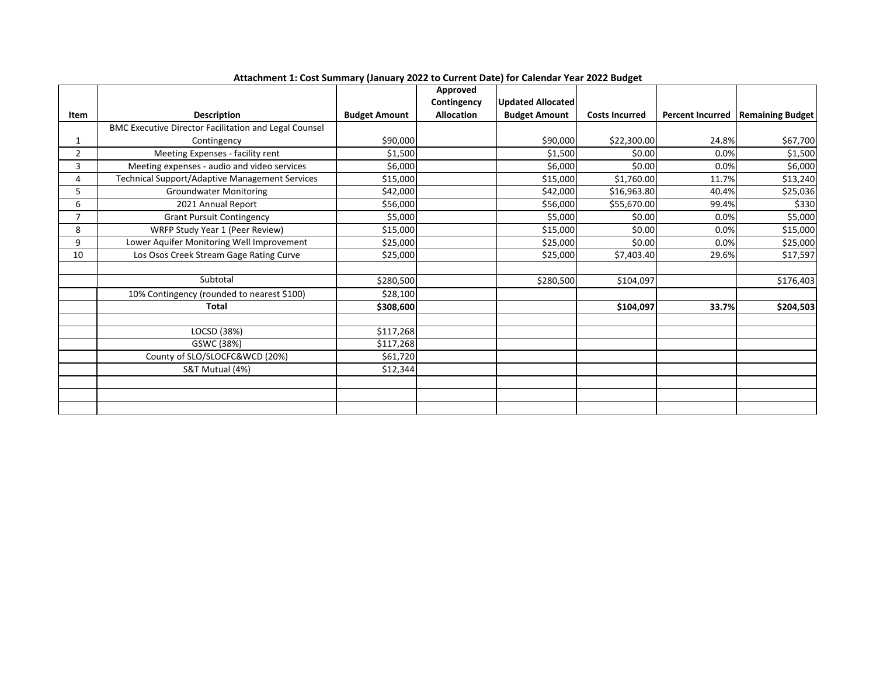|                |                                                              |                      | Approved          |                      |                       |                         |                         |
|----------------|--------------------------------------------------------------|----------------------|-------------------|----------------------|-----------------------|-------------------------|-------------------------|
|                |                                                              |                      | Contingency       | Updated Allocated    |                       |                         |                         |
| Item           | <b>Description</b>                                           | <b>Budget Amount</b> | <b>Allocation</b> | <b>Budget Amount</b> | <b>Costs Incurred</b> | <b>Percent Incurred</b> | <b>Remaining Budget</b> |
|                | <b>BMC Executive Director Facilitation and Legal Counsel</b> |                      |                   |                      |                       |                         |                         |
| 1              | Contingency                                                  | \$90,000             |                   | \$90,000             | \$22,300.00           | 24.8%                   | \$67,700                |
| $\overline{2}$ | Meeting Expenses - facility rent                             | \$1,500              |                   | \$1,500              | \$0.00                | 0.0%                    | \$1,500                 |
| 3              | Meeting expenses - audio and video services                  | \$6,000              |                   | \$6,000              | \$0.00                | 0.0%                    | \$6,000                 |
| 4              | <b>Technical Support/Adaptive Management Services</b>        | \$15,000             |                   | \$15,000             | \$1,760.00            | 11.7%                   | \$13,240                |
| 5              | <b>Groundwater Monitoring</b>                                | \$42,000             |                   | \$42,000             | \$16,963.80           | 40.4%                   | \$25,036                |
| 6              | 2021 Annual Report                                           | \$56,000             |                   | \$56,000             | \$55,670.00           | 99.4%                   | \$330                   |
| $\overline{7}$ | <b>Grant Pursuit Contingency</b>                             | \$5,000              |                   | \$5,000              | \$0.00                | 0.0%                    | \$5,000                 |
| 8              | WRFP Study Year 1 (Peer Review)                              | \$15,000             |                   | \$15,000             | \$0.00                | 0.0%                    | \$15,000                |
| 9              | Lower Aquifer Monitoring Well Improvement                    | \$25,000             |                   | \$25,000             | \$0.00                | 0.0%                    | \$25,000                |
| 10             | Los Osos Creek Stream Gage Rating Curve                      | \$25,000             |                   | \$25,000             | \$7,403.40            | 29.6%                   | \$17,597                |
|                |                                                              |                      |                   |                      |                       |                         |                         |
|                | Subtotal                                                     | \$280,500            |                   | \$280,500            | \$104,097             |                         | \$176,403               |
|                | 10% Contingency (rounded to nearest \$100)                   | \$28,100             |                   |                      |                       |                         |                         |
|                | <b>Total</b>                                                 | \$308,600            |                   |                      | \$104,097             | 33.7%                   | \$204,503               |
|                |                                                              |                      |                   |                      |                       |                         |                         |
|                | LOCSD (38%)                                                  | \$117,268            |                   |                      |                       |                         |                         |
|                | GSWC (38%)                                                   | \$117,268            |                   |                      |                       |                         |                         |
|                | County of SLO/SLOCFC&WCD (20%)                               | \$61,720             |                   |                      |                       |                         |                         |
|                | S&T Mutual (4%)                                              | \$12,344             |                   |                      |                       |                         |                         |
|                |                                                              |                      |                   |                      |                       |                         |                         |
|                |                                                              |                      |                   |                      |                       |                         |                         |
|                |                                                              |                      |                   |                      |                       |                         |                         |

**Attachment 1: Cost Summary (January 2022 to Current Date) for Calendar Year 2022 Budget**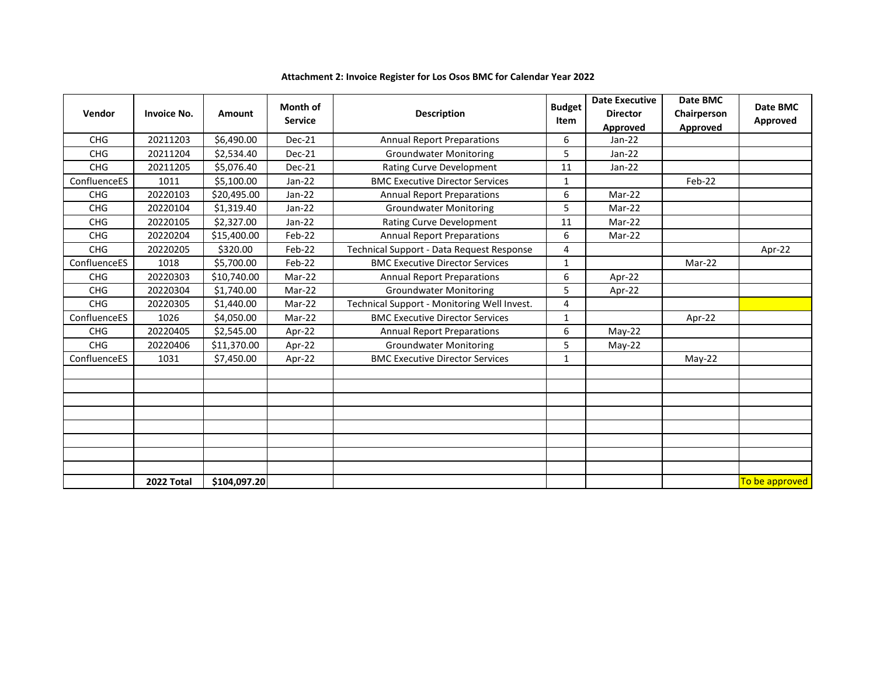| Vendor       | <b>Invoice No.</b> | <b>Amount</b> | <b>Month of</b><br><b>Service</b> | <b>Budget</b><br><b>Description</b>         |              | <b>Date Executive</b><br><b>Director</b><br>Approved | Date BMC<br>Chairperson<br>Approved | Date BMC<br>Approved |
|--------------|--------------------|---------------|-----------------------------------|---------------------------------------------|--------------|------------------------------------------------------|-------------------------------------|----------------------|
| <b>CHG</b>   | 20211203           | \$6,490.00    | <b>Dec-21</b>                     | <b>Annual Report Preparations</b>           |              | $Jan-22$                                             |                                     |                      |
| <b>CHG</b>   | 20211204           | \$2,534.40    | Dec-21                            | <b>Groundwater Monitoring</b>               | 5            | $Jan-22$                                             |                                     |                      |
| <b>CHG</b>   | 20211205           | \$5,076.40    | <b>Dec-21</b>                     | Rating Curve Development                    | 11           | $Jan-22$                                             |                                     |                      |
| ConfluenceES | 1011               | \$5,100.00    | Jan-22                            | <b>BMC Executive Director Services</b>      | $\mathbf{1}$ |                                                      | Feb-22                              |                      |
| <b>CHG</b>   | 20220103           | \$20,495.00   | $Jan-22$                          | <b>Annual Report Preparations</b>           | 6            | Mar-22                                               |                                     |                      |
| <b>CHG</b>   | 20220104           | \$1,319.40    | $Jan-22$                          | <b>Groundwater Monitoring</b>               | 5            | Mar-22                                               |                                     |                      |
| <b>CHG</b>   | 20220105           | \$2,327.00    | $Jan-22$                          | <b>Rating Curve Development</b>             | 11           | Mar-22                                               |                                     |                      |
| <b>CHG</b>   | 20220204           | \$15,400.00   | Feb-22                            | <b>Annual Report Preparations</b>           | 6            | Mar-22                                               |                                     |                      |
| <b>CHG</b>   | 20220205           | \$320.00      | Feb-22                            | Technical Support - Data Request Response   | 4            |                                                      |                                     | Apr-22               |
| ConfluenceES | 1018               | \$5,700.00    | Feb-22                            | <b>BMC Executive Director Services</b>      | $\mathbf{1}$ |                                                      | Mar-22                              |                      |
| <b>CHG</b>   | 20220303           | \$10,740.00   | Mar-22                            | <b>Annual Report Preparations</b>           | 6            | Apr-22                                               |                                     |                      |
| <b>CHG</b>   | 20220304           | \$1,740.00    | Mar-22                            | <b>Groundwater Monitoring</b>               | 5            | Apr-22                                               |                                     |                      |
| <b>CHG</b>   | 20220305           | \$1,440.00    | Mar-22                            | Technical Support - Monitoring Well Invest. | 4            |                                                      |                                     |                      |
| ConfluenceES | 1026               | \$4,050.00    | Mar-22                            | <b>BMC Executive Director Services</b>      | $\mathbf{1}$ |                                                      | Apr-22                              |                      |
| <b>CHG</b>   | 20220405           | \$2,545.00    | Apr-22                            | <b>Annual Report Preparations</b>           | 6            | $May-22$                                             |                                     |                      |
| <b>CHG</b>   | 20220406           | \$11,370.00   | Apr-22                            | <b>Groundwater Monitoring</b>               | 5            | $May-22$                                             |                                     |                      |
| ConfluenceES | 1031               | \$7,450.00    | Apr-22                            | <b>BMC Executive Director Services</b>      | $\mathbf{1}$ |                                                      | $May-22$                            |                      |
|              |                    |               |                                   |                                             |              |                                                      |                                     |                      |
|              |                    |               |                                   |                                             |              |                                                      |                                     |                      |
|              |                    |               |                                   |                                             |              |                                                      |                                     |                      |
|              |                    |               |                                   |                                             |              |                                                      |                                     |                      |
|              |                    |               |                                   |                                             |              |                                                      |                                     |                      |
|              |                    |               |                                   |                                             |              |                                                      |                                     |                      |
|              |                    |               |                                   |                                             |              |                                                      |                                     |                      |
|              |                    |               |                                   |                                             |              |                                                      |                                     |                      |
|              | 2022 Total         | \$104,097.20  |                                   |                                             |              |                                                      |                                     | To be approved       |

# **Attachment 2: Invoice Register for Los Osos BMC for Calendar Year 2022**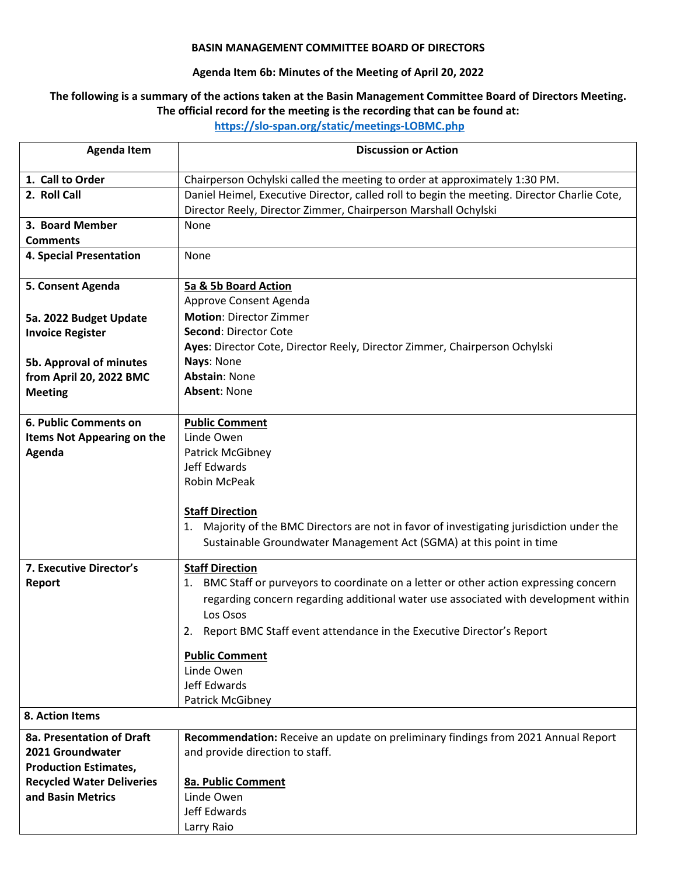#### **BASIN MANAGEMENT COMMITTEE BOARD OF DIRECTORS**

# **Agenda Item 6b: Minutes of the Meeting of April 20, 2022**

#### The following is a summary of the actions taken at the Basin Management Committee Board of Directors Meeting. **The official record for the meeting is the recording that can be found at:**

**https://slo‐span.org/static/meetings‐LOBMC.php** 

| <b>Agenda Item</b>                | <b>Discussion or Action</b>                                                                                                                                   |
|-----------------------------------|---------------------------------------------------------------------------------------------------------------------------------------------------------------|
| 1. Call to Order                  | Chairperson Ochylski called the meeting to order at approximately 1:30 PM.                                                                                    |
| 2. Roll Call                      | Daniel Heimel, Executive Director, called roll to begin the meeting. Director Charlie Cote,<br>Director Reely, Director Zimmer, Chairperson Marshall Ochylski |
| 3. Board Member                   | None                                                                                                                                                          |
| <b>Comments</b>                   |                                                                                                                                                               |
| <b>4. Special Presentation</b>    | None                                                                                                                                                          |
| 5. Consent Agenda                 | 5a & 5b Board Action                                                                                                                                          |
|                                   | Approve Consent Agenda                                                                                                                                        |
| 5a. 2022 Budget Update            | <b>Motion: Director Zimmer</b>                                                                                                                                |
| <b>Invoice Register</b>           | Second: Director Cote                                                                                                                                         |
|                                   | Ayes: Director Cote, Director Reely, Director Zimmer, Chairperson Ochylski                                                                                    |
| 5b. Approval of minutes           | Nays: None                                                                                                                                                    |
| from April 20, 2022 BMC           | <b>Abstain: None</b>                                                                                                                                          |
| <b>Meeting</b>                    | <b>Absent: None</b>                                                                                                                                           |
|                                   |                                                                                                                                                               |
| <b>6. Public Comments on</b>      | <b>Public Comment</b>                                                                                                                                         |
| <b>Items Not Appearing on the</b> | Linde Owen                                                                                                                                                    |
| Agenda                            | Patrick McGibney                                                                                                                                              |
|                                   | Jeff Edwards                                                                                                                                                  |
|                                   | Robin McPeak                                                                                                                                                  |
|                                   |                                                                                                                                                               |
|                                   | <b>Staff Direction</b>                                                                                                                                        |
|                                   | 1. Majority of the BMC Directors are not in favor of investigating jurisdiction under the                                                                     |
|                                   | Sustainable Groundwater Management Act (SGMA) at this point in time                                                                                           |
| 7. Executive Director's           | <b>Staff Direction</b>                                                                                                                                        |
| Report                            | 1. BMC Staff or purveyors to coordinate on a letter or other action expressing concern                                                                        |
|                                   | regarding concern regarding additional water use associated with development within                                                                           |
|                                   | Los Osos                                                                                                                                                      |
|                                   | Report BMC Staff event attendance in the Executive Director's Report<br>2.                                                                                    |
|                                   | <b>Public Comment</b>                                                                                                                                         |
|                                   | Linde Owen                                                                                                                                                    |
|                                   | Jeff Edwards                                                                                                                                                  |
|                                   | Patrick McGibney                                                                                                                                              |
| 8. Action Items                   |                                                                                                                                                               |
| 8a. Presentation of Draft         | Recommendation: Receive an update on preliminary findings from 2021 Annual Report                                                                             |
| 2021 Groundwater                  | and provide direction to staff.                                                                                                                               |
| <b>Production Estimates,</b>      |                                                                                                                                                               |
| <b>Recycled Water Deliveries</b>  | <b>8a. Public Comment</b>                                                                                                                                     |
| and Basin Metrics                 | Linde Owen                                                                                                                                                    |
|                                   | Jeff Edwards                                                                                                                                                  |
|                                   | Larry Raio                                                                                                                                                    |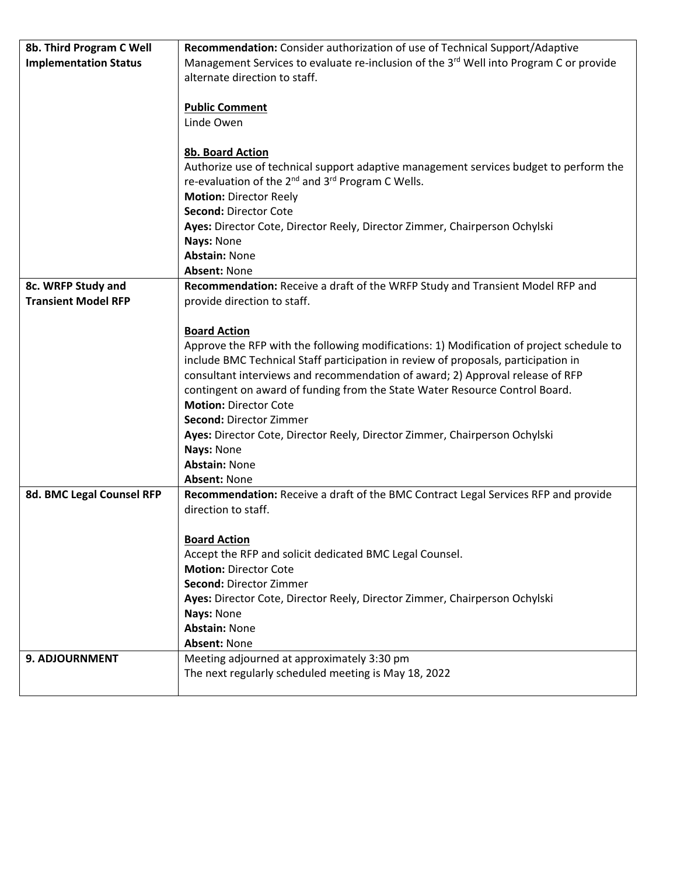| 8b. Third Program C Well     | Recommendation: Consider authorization of use of Technical Support/Adaptive                        |
|------------------------------|----------------------------------------------------------------------------------------------------|
| <b>Implementation Status</b> | Management Services to evaluate re-inclusion of the 3 <sup>rd</sup> Well into Program C or provide |
|                              | alternate direction to staff.                                                                      |
|                              |                                                                                                    |
|                              | <b>Public Comment</b>                                                                              |
|                              | Linde Owen                                                                                         |
|                              |                                                                                                    |
|                              | 8b. Board Action                                                                                   |
|                              | Authorize use of technical support adaptive management services budget to perform the              |
|                              | re-evaluation of the 2 <sup>nd</sup> and 3 <sup>rd</sup> Program C Wells.                          |
|                              | <b>Motion: Director Reely</b>                                                                      |
|                              | Second: Director Cote                                                                              |
|                              | Ayes: Director Cote, Director Reely, Director Zimmer, Chairperson Ochylski                         |
|                              | Nays: None                                                                                         |
|                              | <b>Abstain: None</b>                                                                               |
|                              | <b>Absent: None</b>                                                                                |
| 8c. WRFP Study and           | Recommendation: Receive a draft of the WRFP Study and Transient Model RFP and                      |
| <b>Transient Model RFP</b>   | provide direction to staff.                                                                        |
|                              |                                                                                                    |
|                              | <b>Board Action</b>                                                                                |
|                              | Approve the RFP with the following modifications: 1) Modification of project schedule to           |
|                              | include BMC Technical Staff participation in review of proposals, participation in                 |
|                              | consultant interviews and recommendation of award; 2) Approval release of RFP                      |
|                              | contingent on award of funding from the State Water Resource Control Board.                        |
|                              | <b>Motion: Director Cote</b>                                                                       |
|                              | Second: Director Zimmer                                                                            |
|                              | Ayes: Director Cote, Director Reely, Director Zimmer, Chairperson Ochylski                         |
|                              | Nays: None                                                                                         |
|                              | <b>Abstain: None</b>                                                                               |
|                              | <b>Absent: None</b>                                                                                |
| 8d. BMC Legal Counsel RFP    | Recommendation: Receive a draft of the BMC Contract Legal Services RFP and provide                 |
|                              | direction to staff.                                                                                |
|                              |                                                                                                    |
|                              | <b>Board Action</b>                                                                                |
|                              | Accept the RFP and solicit dedicated BMC Legal Counsel.                                            |
|                              | <b>Motion: Director Cote</b>                                                                       |
|                              | Second: Director Zimmer                                                                            |
|                              | Ayes: Director Cote, Director Reely, Director Zimmer, Chairperson Ochylski                         |
|                              | Nays: None                                                                                         |
|                              | <b>Abstain: None</b>                                                                               |
|                              | <b>Absent: None</b>                                                                                |
| 9. ADJOURNMENT               | Meeting adjourned at approximately 3:30 pm                                                         |
|                              | The next regularly scheduled meeting is May 18, 2022                                               |
|                              |                                                                                                    |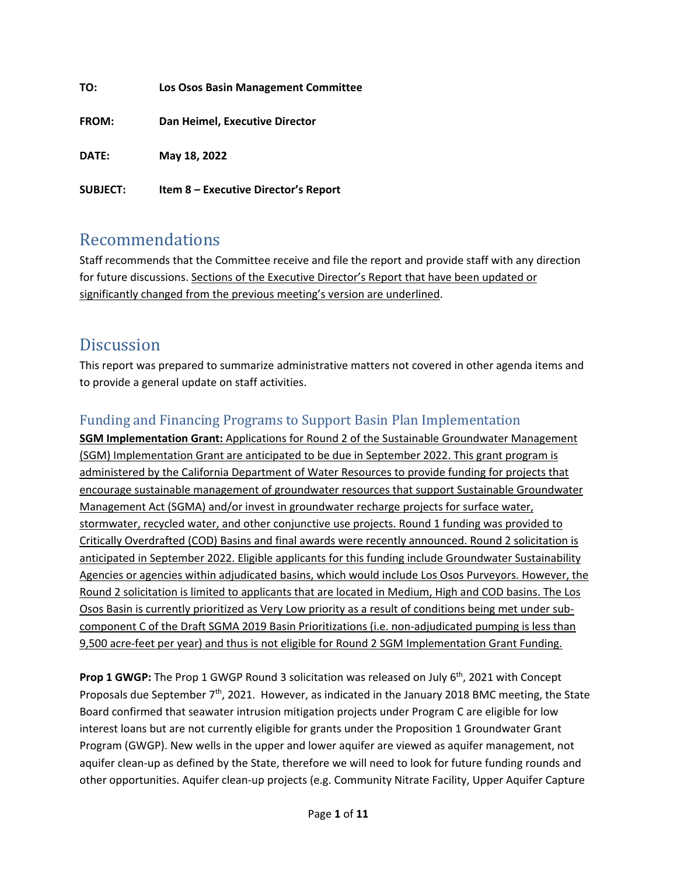| TO:             | Los Osos Basin Management Committee  |
|-----------------|--------------------------------------|
| <b>FROM:</b>    | Dan Heimel, Executive Director       |
| DATE:           | May 18, 2022                         |
| <b>SUBJECT:</b> | Item 8 - Executive Director's Report |

# Recommendations

Staff recommends that the Committee receive and file the report and provide staff with any direction for future discussions. Sections of the Executive Director's Report that have been updated or significantly changed from the previous meeting's version are underlined.

# **Discussion**

This report was prepared to summarize administrative matters not covered in other agenda items and to provide a general update on staff activities.

# Funding and Financing Programs to Support Basin Plan Implementation

**SGM Implementation Grant:** Applications for Round 2 of the Sustainable Groundwater Management (SGM) Implementation Grant are anticipated to be due in September 2022. This grant program is administered by the California Department of Water Resources to provide funding for projects that encourage sustainable management of groundwater resources that support Sustainable Groundwater Management Act (SGMA) and/or invest in groundwater recharge projects for surface water, stormwater, recycled water, and other conjunctive use projects. Round 1 funding was provided to Critically Overdrafted (COD) Basins and final awards were recently announced. Round 2 solicitation is anticipated in September 2022. Eligible applicants for this funding include Groundwater Sustainability Agencies or agencies within adjudicated basins, which would include Los Osos Purveyors. However, the Round 2 solicitation is limited to applicants that are located in Medium, High and COD basins. The Los Osos Basin is currently prioritized as Very Low priority as a result of conditions being met under sub‐ component C of the Draft SGMA 2019 Basin Prioritizations (i.e. non-adjudicated pumping is less than 9,500 acre-feet per year) and thus is not eligible for Round 2 SGM Implementation Grant Funding.

**Prop 1 GWGP:** The Prop 1 GWGP Round 3 solicitation was released on July 6th, 2021 with Concept Proposals due September 7<sup>th</sup>, 2021. However, as indicated in the January 2018 BMC meeting, the State Board confirmed that seawater intrusion mitigation projects under Program C are eligible for low interest loans but are not currently eligible for grants under the Proposition 1 Groundwater Grant Program (GWGP). New wells in the upper and lower aquifer are viewed as aquifer management, not aquifer clean‐up as defined by the State, therefore we will need to look for future funding rounds and other opportunities. Aquifer clean‐up projects (e.g. Community Nitrate Facility, Upper Aquifer Capture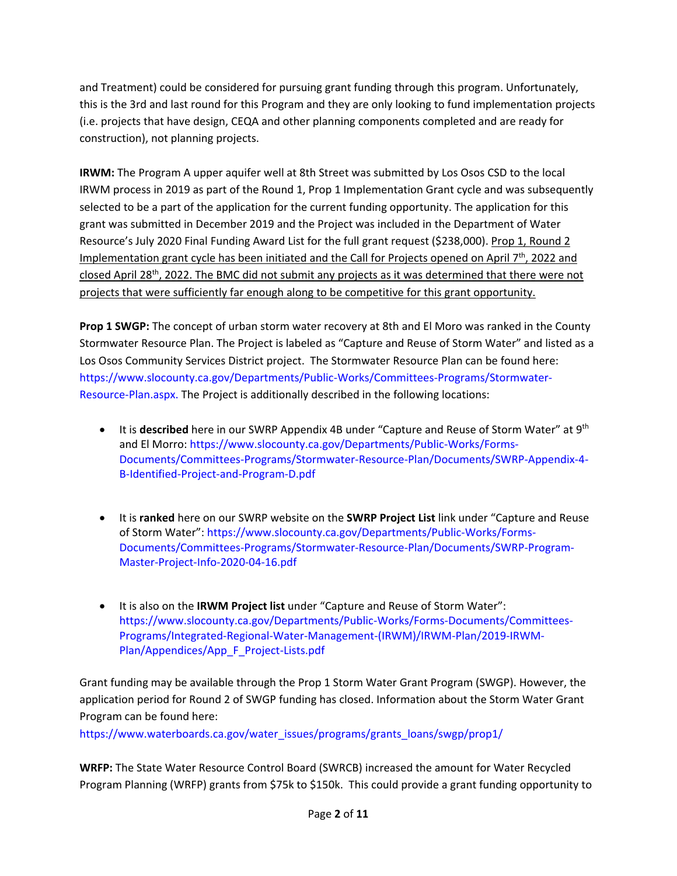and Treatment) could be considered for pursuing grant funding through this program. Unfortunately, this is the 3rd and last round for this Program and they are only looking to fund implementation projects (i.e. projects that have design, CEQA and other planning components completed and are ready for construction), not planning projects.

**IRWM:** The Program A upper aquifer well at 8th Street was submitted by Los Osos CSD to the local IRWM process in 2019 as part of the Round 1, Prop 1 Implementation Grant cycle and was subsequently selected to be a part of the application for the current funding opportunity. The application for this grant was submitted in December 2019 and the Project was included in the Department of Water Resource's July 2020 Final Funding Award List for the full grant request (\$238,000). Prop 1, Round 2 Implementation grant cycle has been initiated and the Call for Projects opened on April  $7<sup>th</sup>$ , 2022 and closed April 28<sup>th</sup>, 2022. The BMC did not submit any projects as it was determined that there were not projects that were sufficiently far enough along to be competitive for this grant opportunity.

**Prop 1 SWGP:** The concept of urban storm water recovery at 8th and El Moro was ranked in the County Stormwater Resource Plan. The Project is labeled as "Capture and Reuse of Storm Water" and listed as a Los Osos Community Services District project. The Stormwater Resource Plan can be found here: https://www.slocounty.ca.gov/Departments/Public‐Works/Committees‐Programs/Stormwater‐ Resource‐Plan.aspx. The Project is additionally described in the following locations:

- It is **described** here in our SWRP Appendix 4B under "Capture and Reuse of Storm Water" at 9th and El Morro: https://www.slocounty.ca.gov/Departments/Public‐Works/Forms‐ Documents/Committees‐Programs/Stormwater‐Resource‐Plan/Documents/SWRP‐Appendix‐4‐ B‐Identified‐Project‐and‐Program‐D.pdf
- It is **ranked** here on our SWRP website on the **SWRP Project List** link under "Capture and Reuse of Storm Water": https://www.slocounty.ca.gov/Departments/Public‐Works/Forms‐ Documents/Committees‐Programs/Stormwater‐Resource‐Plan/Documents/SWRP‐Program‐ Master‐Project‐Info‐2020‐04‐16.pdf
- It is also on the **IRWM Project list** under "Capture and Reuse of Storm Water": https://www.slocounty.ca.gov/Departments/Public‐Works/Forms‐Documents/Committees‐ Programs/Integrated‐Regional‐Water‐Management‐(IRWM)/IRWM‐Plan/2019‐IRWM‐ Plan/Appendices/App\_F\_Project‐Lists.pdf

Grant funding may be available through the Prop 1 Storm Water Grant Program (SWGP). However, the application period for Round 2 of SWGP funding has closed. Information about the Storm Water Grant Program can be found here:

https://www.waterboards.ca.gov/water\_issues/programs/grants\_loans/swgp/prop1/

**WRFP:** The State Water Resource Control Board (SWRCB) increased the amount for Water Recycled Program Planning (WRFP) grants from \$75k to \$150k. This could provide a grant funding opportunity to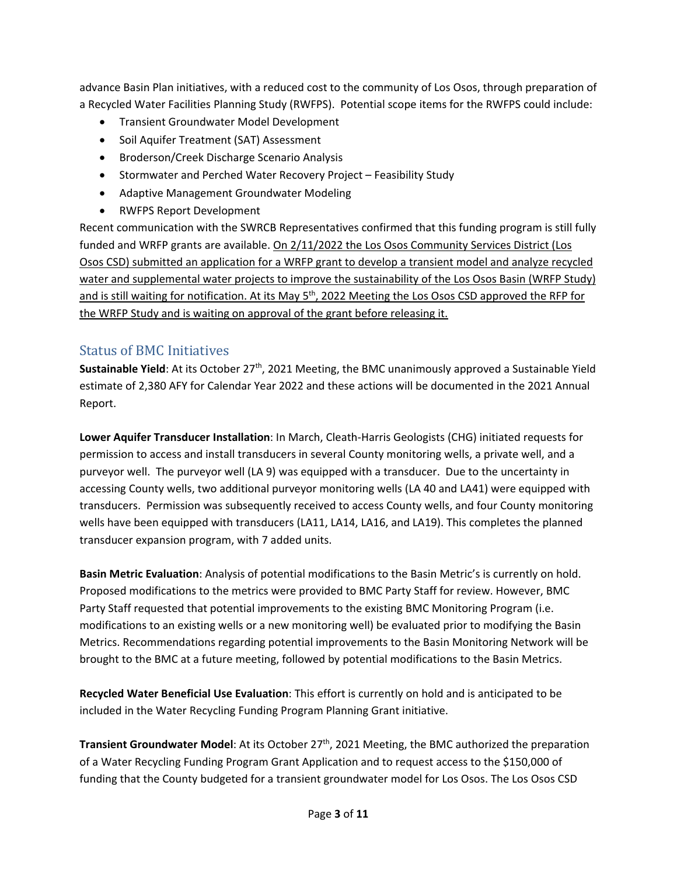advance Basin Plan initiatives, with a reduced cost to the community of Los Osos, through preparation of a Recycled Water Facilities Planning Study (RWFPS). Potential scope items for the RWFPS could include:

- Transient Groundwater Model Development
- Soil Aquifer Treatment (SAT) Assessment
- **•** Broderson/Creek Discharge Scenario Analysis
- Stormwater and Perched Water Recovery Project Feasibility Study
- Adaptive Management Groundwater Modeling
- RWFPS Report Development

Recent communication with the SWRCB Representatives confirmed that this funding program is still fully funded and WRFP grants are available. On 2/11/2022 the Los Osos Community Services District (Los Osos CSD) submitted an application for a WRFP grant to develop a transient model and analyze recycled water and supplemental water projects to improve the sustainability of the Los Osos Basin (WRFP Study) and is still waiting for notification. At its May 5<sup>th</sup>, 2022 Meeting the Los Osos CSD approved the RFP for the WRFP Study and is waiting on approval of the grant before releasing it.

# Status of BMC Initiatives

**Sustainable Yield:** At its October 27<sup>th</sup>, 2021 Meeting, the BMC unanimously approved a Sustainable Yield estimate of 2,380 AFY for Calendar Year 2022 and these actions will be documented in the 2021 Annual Report.

**Lower Aquifer Transducer Installation**: In March, Cleath‐Harris Geologists (CHG) initiated requests for permission to access and install transducers in several County monitoring wells, a private well, and a purveyor well. The purveyor well (LA 9) was equipped with a transducer. Due to the uncertainty in accessing County wells, two additional purveyor monitoring wells (LA 40 and LA41) were equipped with transducers. Permission was subsequently received to access County wells, and four County monitoring wells have been equipped with transducers (LA11, LA14, LA16, and LA19). This completes the planned transducer expansion program, with 7 added units.

**Basin Metric Evaluation**: Analysis of potential modifications to the Basin Metric's is currently on hold. Proposed modifications to the metrics were provided to BMC Party Staff for review. However, BMC Party Staff requested that potential improvements to the existing BMC Monitoring Program (i.e. modifications to an existing wells or a new monitoring well) be evaluated prior to modifying the Basin Metrics. Recommendations regarding potential improvements to the Basin Monitoring Network will be brought to the BMC at a future meeting, followed by potential modifications to the Basin Metrics.

**Recycled Water Beneficial Use Evaluation**: This effort is currently on hold and is anticipated to be included in the Water Recycling Funding Program Planning Grant initiative.

**Transient Groundwater Model**: At its October 27<sup>th</sup>, 2021 Meeting, the BMC authorized the preparation of a Water Recycling Funding Program Grant Application and to request access to the \$150,000 of funding that the County budgeted for a transient groundwater model for Los Osos. The Los Osos CSD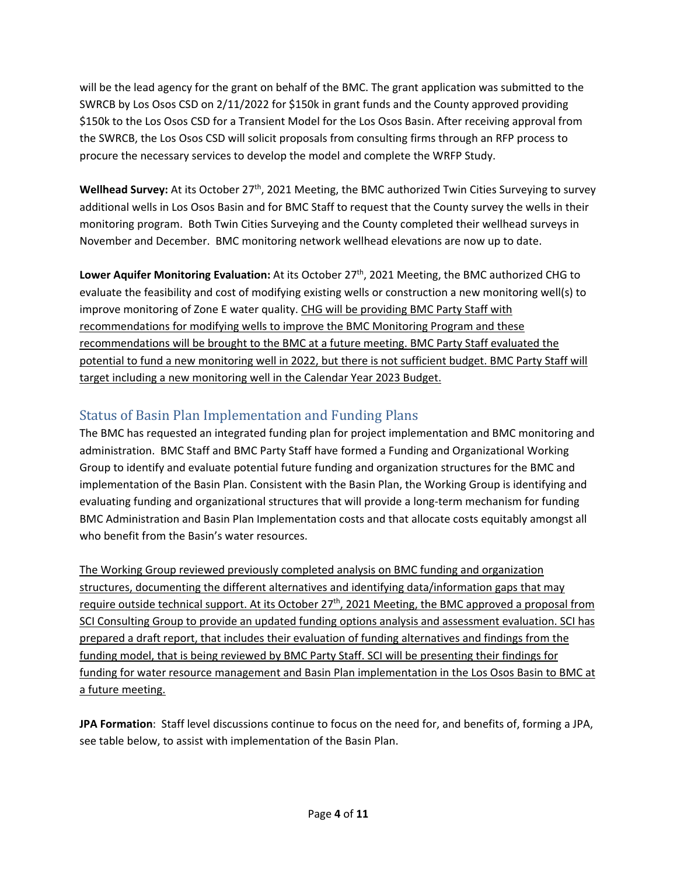will be the lead agency for the grant on behalf of the BMC. The grant application was submitted to the SWRCB by Los Osos CSD on 2/11/2022 for \$150k in grant funds and the County approved providing \$150k to the Los Osos CSD for a Transient Model for the Los Osos Basin. After receiving approval from the SWRCB, the Los Osos CSD will solicit proposals from consulting firms through an RFP process to procure the necessary services to develop the model and complete the WRFP Study.

**Wellhead Survey:** At its October 27<sup>th</sup>, 2021 Meeting, the BMC authorized Twin Cities Surveying to survey additional wells in Los Osos Basin and for BMC Staff to request that the County survey the wells in their monitoring program. Both Twin Cities Surveying and the County completed their wellhead surveys in November and December. BMC monitoring network wellhead elevations are now up to date.

**Lower Aquifer Monitoring Evaluation:** At its October 27th, 2021 Meeting, the BMC authorized CHG to evaluate the feasibility and cost of modifying existing wells or construction a new monitoring well(s) to improve monitoring of Zone E water quality. CHG will be providing BMC Party Staff with recommendations for modifying wells to improve the BMC Monitoring Program and these recommendations will be brought to the BMC at a future meeting. BMC Party Staff evaluated the potential to fund a new monitoring well in 2022, but there is not sufficient budget. BMC Party Staff will target including a new monitoring well in the Calendar Year 2023 Budget.

# Status of Basin Plan Implementation and Funding Plans

The BMC has requested an integrated funding plan for project implementation and BMC monitoring and administration. BMC Staff and BMC Party Staff have formed a Funding and Organizational Working Group to identify and evaluate potential future funding and organization structures for the BMC and implementation of the Basin Plan. Consistent with the Basin Plan, the Working Group is identifying and evaluating funding and organizational structures that will provide a long-term mechanism for funding BMC Administration and Basin Plan Implementation costs and that allocate costs equitably amongst all who benefit from the Basin's water resources.

The Working Group reviewed previously completed analysis on BMC funding and organization structures, documenting the different alternatives and identifying data/information gaps that may require outside technical support. At its October 27<sup>th</sup>, 2021 Meeting, the BMC approved a proposal from SCI Consulting Group to provide an updated funding options analysis and assessment evaluation. SCI has prepared a draft report, that includes their evaluation of funding alternatives and findings from the funding model, that is being reviewed by BMC Party Staff. SCI will be presenting their findings for funding for water resource management and Basin Plan implementation in the Los Osos Basin to BMC at a future meeting.

**JPA Formation**: Staff level discussions continue to focus on the need for, and benefits of, forming a JPA, see table below, to assist with implementation of the Basin Plan.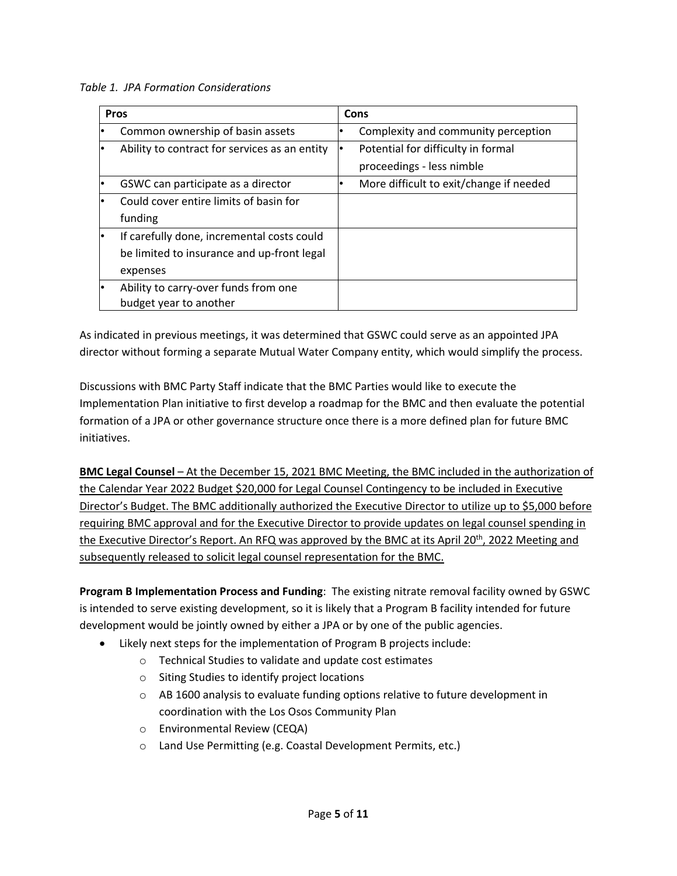*Table 1. JPA Formation Considerations*

| <b>Pros</b>                                   | Cons                                    |
|-----------------------------------------------|-----------------------------------------|
| Common ownership of basin assets              | Complexity and community perception     |
| Ability to contract for services as an entity | Potential for difficulty in formal      |
|                                               | proceedings - less nimble               |
| GSWC can participate as a director            | More difficult to exit/change if needed |
| Could cover entire limits of basin for        |                                         |
| funding                                       |                                         |
| If carefully done, incremental costs could    |                                         |
| be limited to insurance and up-front legal    |                                         |
| expenses                                      |                                         |
| Ability to carry-over funds from one          |                                         |
| budget year to another                        |                                         |

As indicated in previous meetings, it was determined that GSWC could serve as an appointed JPA director without forming a separate Mutual Water Company entity, which would simplify the process.

Discussions with BMC Party Staff indicate that the BMC Parties would like to execute the Implementation Plan initiative to first develop a roadmap for the BMC and then evaluate the potential formation of a JPA or other governance structure once there is a more defined plan for future BMC initiatives.

**BMC Legal Counsel** – At the December 15, 2021 BMC Meeting, the BMC included in the authorization of the Calendar Year 2022 Budget \$20,000 for Legal Counsel Contingency to be included in Executive Director's Budget. The BMC additionally authorized the Executive Director to utilize up to \$5,000 before requiring BMC approval and for the Executive Director to provide updates on legal counsel spending in the Executive Director's Report. An RFQ was approved by the BMC at its April 20<sup>th</sup>, 2022 Meeting and subsequently released to solicit legal counsel representation for the BMC.

**Program B Implementation Process and Funding**: The existing nitrate removal facility owned by GSWC is intended to serve existing development, so it is likely that a Program B facility intended for future development would be jointly owned by either a JPA or by one of the public agencies.

- Likely next steps for the implementation of Program B projects include:
	- o Technical Studies to validate and update cost estimates
	- o Siting Studies to identify project locations
	- o AB 1600 analysis to evaluate funding options relative to future development in coordination with the Los Osos Community Plan
	- o Environmental Review (CEQA)
	- o Land Use Permitting (e.g. Coastal Development Permits, etc.)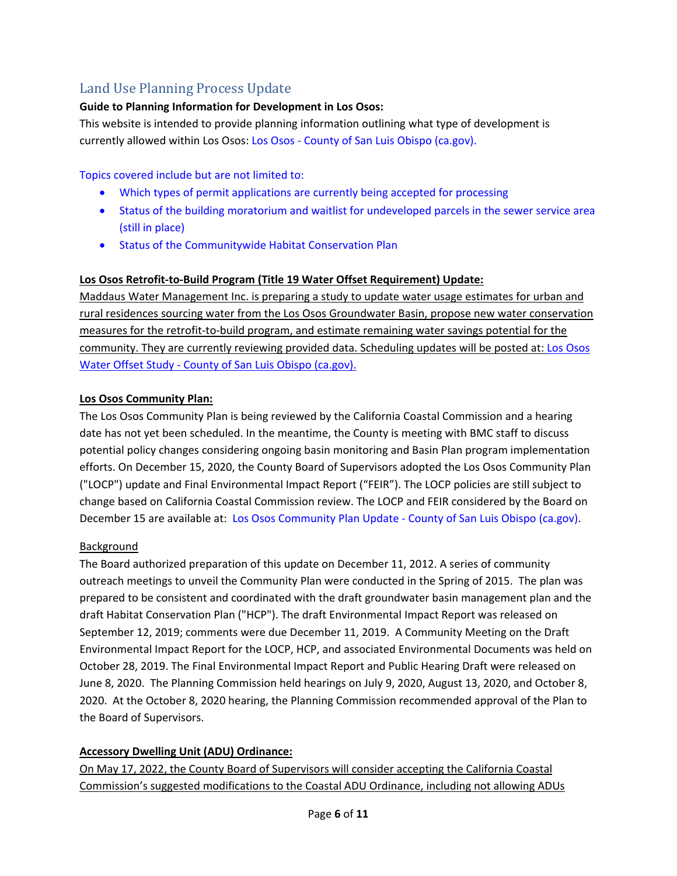# Land Use Planning Process Update

# **Guide to Planning Information for Development in Los Osos:**

This website is intended to provide planning information outlining what type of development is currently allowed within Los Osos: Los Osos ‐ County of San Luis Obispo (ca.gov).

Topics covered include but are not limited to:

- Which types of permit applications are currently being accepted for processing
- Status of the building moratorium and waitlist for undeveloped parcels in the sewer service area (still in place)
- **•** Status of the Communitywide Habitat Conservation Plan

# **Los Osos Retrofit‐to‐Build Program (Title 19 Water Offset Requirement) Update:**

Maddaus Water Management Inc. is preparing a study to update water usage estimates for urban and rural residences sourcing water from the Los Osos Groundwater Basin, propose new water conservation measures for the retrofit‐to‐build program, and estimate remaining water savings potential for the community. They are currently reviewing provided data. Scheduling updates will be posted at: Los Osos Water Offset Study ‐ County of San Luis Obispo (ca.gov).

# **Los Osos Community Plan:**

The Los Osos Community Plan is being reviewed by the California Coastal Commission and a hearing date has not yet been scheduled. In the meantime, the County is meeting with BMC staff to discuss potential policy changes considering ongoing basin monitoring and Basin Plan program implementation efforts. On December 15, 2020, the County Board of Supervisors adopted the Los Osos Community Plan ("LOCP") update and Final Environmental Impact Report ("FEIR"). The LOCP policies are still subject to change based on California Coastal Commission review. The LOCP and FEIR considered by the Board on December 15 are available at: Los Osos Community Plan Update ‐ County of San Luis Obispo (ca.gov).

# **Background**

The Board authorized preparation of this update on December 11, 2012. A series of community outreach meetings to unveil the Community Plan were conducted in the Spring of 2015. The plan was prepared to be consistent and coordinated with the draft groundwater basin management plan and the draft Habitat Conservation Plan ("HCP"). The draft Environmental Impact Report was released on September 12, 2019; comments were due December 11, 2019. A Community Meeting on the Draft Environmental Impact Report for the LOCP, HCP, and associated Environmental Documents was held on October 28, 2019. The Final Environmental Impact Report and Public Hearing Draft were released on June 8, 2020. The Planning Commission held hearings on July 9, 2020, August 13, 2020, and October 8, 2020. At the October 8, 2020 hearing, the Planning Commission recommended approval of the Plan to the Board of Supervisors.

# **Accessory Dwelling Unit (ADU) Ordinance:**

On May 17, 2022, the County Board of Supervisors will consider accepting the California Coastal Commission's suggested modifications to the Coastal ADU Ordinance, including not allowing ADUs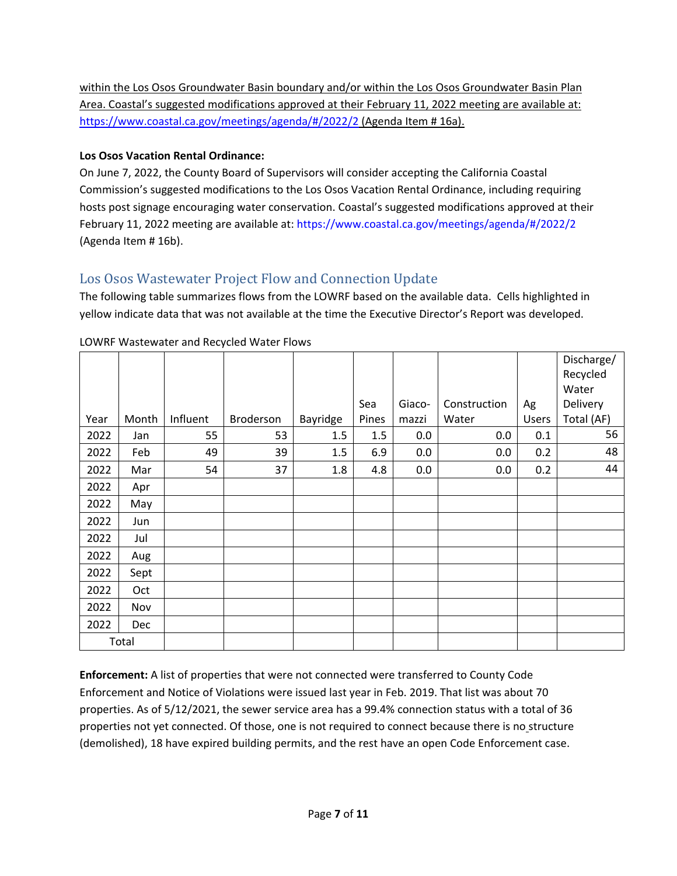within the Los Osos Groundwater Basin boundary and/or within the Los Osos Groundwater Basin Plan Area. Coastal's suggested modifications approved at their February 11, 2022 meeting are available at: https://www.coastal.ca.gov/meetings/agenda/#/2022/2 (Agenda Item # 16a).

# **Los Osos Vacation Rental Ordinance:**

On June 7, 2022, the County Board of Supervisors will consider accepting the California Coastal Commission's suggested modifications to the Los Osos Vacation Rental Ordinance, including requiring hosts post signage encouraging water conservation. Coastal's suggested modifications approved at their February 11, 2022 meeting are available at: https://www.coastal.ca.gov/meetings/agenda/#/2022/2 (Agenda Item # 16b).

# Los Osos Wastewater Project Flow and Connection Update

The following table summarizes flows from the LOWRF based on the available data. Cells highlighted in yellow indicate data that was not available at the time the Executive Director's Report was developed.

|      |            |          |           |          |       |        |              |       | Discharge/ |
|------|------------|----------|-----------|----------|-------|--------|--------------|-------|------------|
|      |            |          |           |          |       |        |              |       | Recycled   |
|      |            |          |           |          |       |        |              |       | Water      |
|      |            |          |           |          | Sea   | Giaco- | Construction | Ag    | Delivery   |
| Year | Month      | Influent | Broderson | Bayridge | Pines | mazzi  | Water        | Users | Total (AF) |
| 2022 | Jan        | 55       | 53        | 1.5      | 1.5   | 0.0    | 0.0          | 0.1   | 56         |
| 2022 | Feb        | 49       | 39        | 1.5      | 6.9   | 0.0    | 0.0          | 0.2   | 48         |
| 2022 | Mar        | 54       | 37        | 1.8      | 4.8   | 0.0    | 0.0          | 0.2   | 44         |
| 2022 | Apr        |          |           |          |       |        |              |       |            |
| 2022 | May        |          |           |          |       |        |              |       |            |
| 2022 | Jun        |          |           |          |       |        |              |       |            |
| 2022 | Jul        |          |           |          |       |        |              |       |            |
| 2022 | Aug        |          |           |          |       |        |              |       |            |
| 2022 | Sept       |          |           |          |       |        |              |       |            |
| 2022 | Oct        |          |           |          |       |        |              |       |            |
| 2022 | Nov        |          |           |          |       |        |              |       |            |
| 2022 | <b>Dec</b> |          |           |          |       |        |              |       |            |
|      | Total      |          |           |          |       |        |              |       |            |

# LOWRF Wastewater and Recycled Water Flows

**Enforcement:** A list of properties that were not connected were transferred to County Code Enforcement and Notice of Violations were issued last year in Feb. 2019. That list was about 70 properties. As of 5/12/2021, the sewer service area has a 99.4% connection status with a total of 36 properties not yet connected. Of those, one is not required to connect because there is no structure (demolished), 18 have expired building permits, and the rest have an open Code Enforcement case.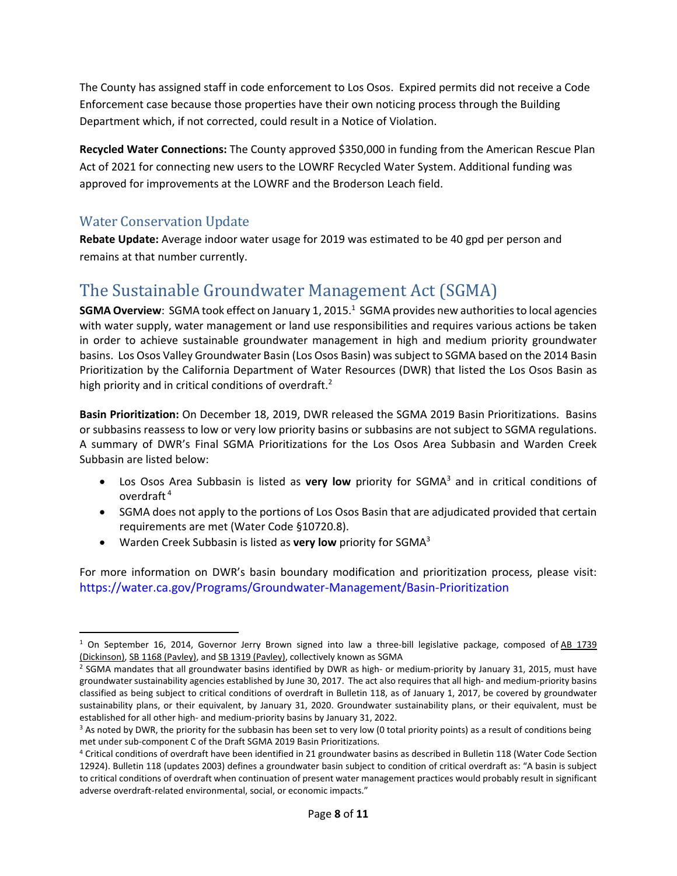The County has assigned staff in code enforcement to Los Osos. Expired permits did not receive a Code Enforcement case because those properties have their own noticing process through the Building Department which, if not corrected, could result in a Notice of Violation.

**Recycled Water Connections:** The County approved \$350,000 in funding from the American Rescue Plan Act of 2021 for connecting new users to the LOWRF Recycled Water System. Additional funding was approved for improvements at the LOWRF and the Broderson Leach field.

# Water Conservation Update

**Rebate Update:** Average indoor water usage for 2019 was estimated to be 40 gpd per person and remains at that number currently.

# The Sustainable Groundwater Management Act (SGMA)

**SGMA Overview**: SGMA took effect on January 1, 2015.<sup>1</sup> SGMA provides new authorities to local agencies with water supply, water management or land use responsibilities and requires various actions be taken in order to achieve sustainable groundwater management in high and medium priority groundwater basins. Los Osos Valley Groundwater Basin (Los Osos Basin) wassubject to SGMA based on the 2014 Basin Prioritization by the California Department of Water Resources (DWR) that listed the Los Osos Basin as high priority and in critical conditions of overdraft.<sup>2</sup>

**Basin Prioritization:** On December 18, 2019, DWR released the SGMA 2019 Basin Prioritizations. Basins or subbasins reassess to low or very low priority basins or subbasins are not subject to SGMA regulations. A summary of DWR's Final SGMA Prioritizations for the Los Osos Area Subbasin and Warden Creek Subbasin are listed below:

- Los Osos Area Subbasin is listed as **very low** priority for SGMA3 and in critical conditions of overdraft <sup>4</sup>
- SGMA does not apply to the portions of Los Osos Basin that are adjudicated provided that certain requirements are met (Water Code §10720.8).
- Warden Creek Subbasin is listed as **very low** priority for SGMA3

For more information on DWR's basin boundary modification and prioritization process, please visit: https://water.ca.gov/Programs/Groundwater‐Management/Basin‐Prioritization

 $1$  On September 16, 2014, Governor Jerry Brown signed into law a three-bill legislative package, composed of AB 1739 (Dickinson), SB 1168 (Pavley), and SB 1319 (Pavley), collectively known as SGMA

 $2$  SGMA mandates that all groundwater basins identified by DWR as high- or medium-priority by January 31, 2015, must have groundwater sustainability agencies established by June 30, 2017. The act also requires that all high- and medium-priority basins classified as being subject to critical conditions of overdraft in Bulletin 118, as of January 1, 2017, be covered by groundwater sustainability plans, or their equivalent, by January 31, 2020. Groundwater sustainability plans, or their equivalent, must be established for all other high‐ and medium‐priority basins by January 31, 2022.

 $3$  As noted by DWR, the priority for the subbasin has been set to very low (0 total priority points) as a result of conditions being met under sub‐component C of the Draft SGMA 2019 Basin Prioritizations.

<sup>4</sup> Critical conditions of overdraft have been identified in 21 groundwater basins as described in Bulletin 118 (Water Code Section 12924). Bulletin 118 (updates 2003) defines a groundwater basin subject to condition of critical overdraft as: "A basin is subject to critical conditions of overdraft when continuation of present water management practices would probably result in significant adverse overdraft-related environmental, social, or economic impacts."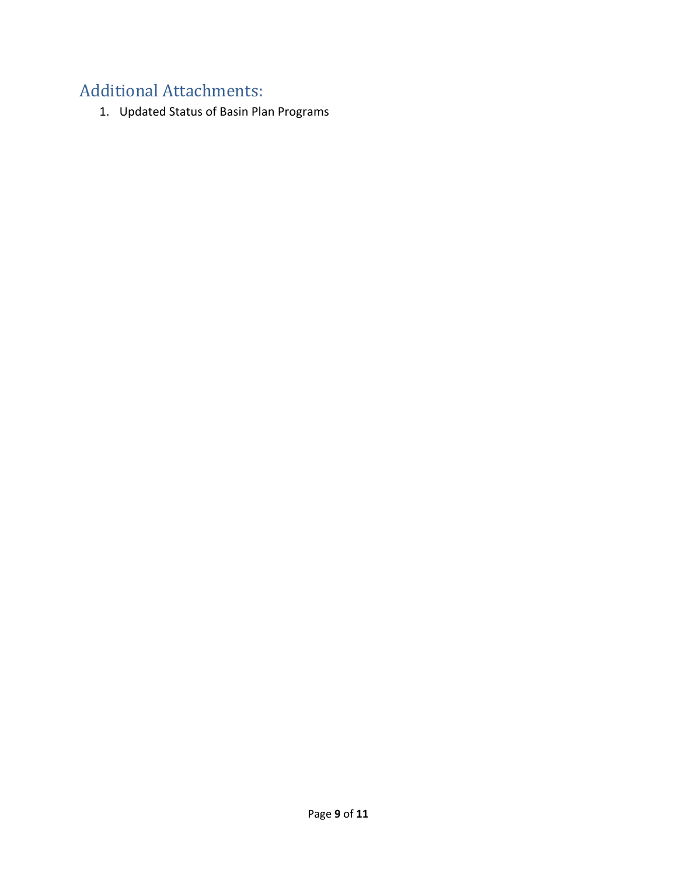# Additional Attachments:

1. Updated Status of Basin Plan Programs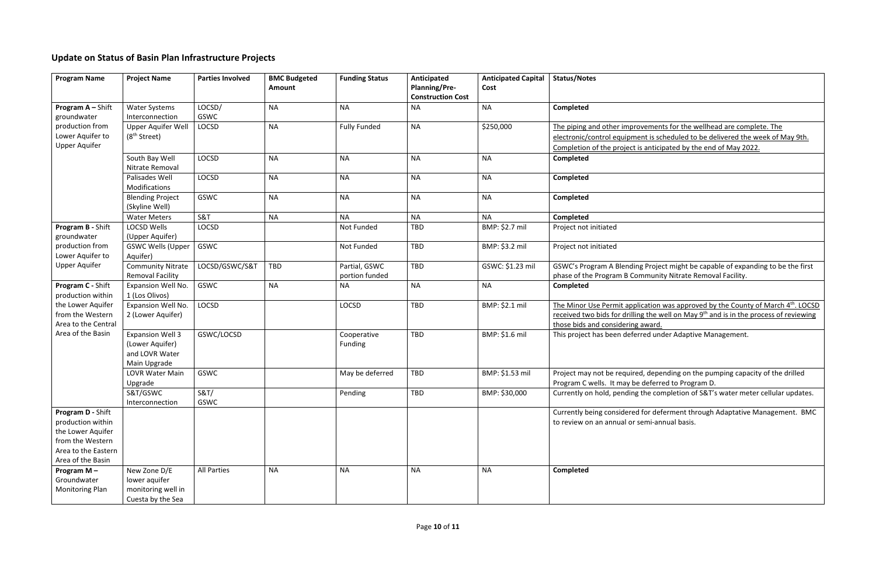# vements for the wellhead are complete. The ent is scheduled to be delivered the week of May 9th. s anticipated by the end of May 2022.

g Project might be capable of expanding to be the first mmunity Nitrate Removal Facility.

ication was approved by the County of March 4<sup>th</sup>. LOCSD g the well on May 9<sup>th</sup> and is in the process of reviewing award.

red under Adaptive Management.

d, depending on the pumping capacity of the drilled deferred to Program D.

the completion of S&T's water meter cellular updates.

for deferment through Adaptative Management. BMC emi-annual basis.

# **Update on Status of Basin Plan Infrastructure Projects**

| <b>Program Name</b>                    | <b>Project Name</b>                  | <b>Parties Involved</b> | <b>BMC Budgeted</b> | <b>Funding Status</b> | Anticipated                                      | <b>Anticipated Capital</b> | <b>Status/Notes</b>              |
|----------------------------------------|--------------------------------------|-------------------------|---------------------|-----------------------|--------------------------------------------------|----------------------------|----------------------------------|
|                                        |                                      |                         | <b>Amount</b>       |                       | <b>Planning/Pre-</b><br><b>Construction Cost</b> | Cost                       |                                  |
| Program A - Shift                      | <b>Water Systems</b>                 | LOCSD/                  | <b>NA</b>           | <b>NA</b>             | <b>NA</b>                                        | <b>NA</b>                  | Completed                        |
| groundwater                            | Interconnection                      | GSWC                    |                     |                       |                                                  |                            |                                  |
| production from                        | Upper Aquifer Well                   | <b>LOCSD</b>            | <b>NA</b>           | <b>Fully Funded</b>   | <b>NA</b>                                        | \$250,000                  | The piping and other improv      |
| Lower Aquifer to                       | (8 <sup>th</sup> Street)             |                         |                     |                       |                                                  |                            | electronic/control equipmer      |
| <b>Upper Aquifer</b>                   |                                      |                         |                     |                       |                                                  |                            | Completion of the project is     |
|                                        | South Bay Well                       | <b>LOCSD</b>            | <b>NA</b>           | <b>NA</b>             | <b>NA</b>                                        | <b>NA</b>                  | Completed                        |
|                                        | Nitrate Removal                      |                         |                     |                       |                                                  |                            |                                  |
|                                        | Palisades Well                       | <b>LOCSD</b>            | <b>NA</b>           | <b>NA</b>             | <b>NA</b>                                        | <b>NA</b>                  | <b>Completed</b>                 |
|                                        | Modifications                        |                         |                     |                       |                                                  |                            |                                  |
|                                        | <b>Blending Project</b>              | GSWC                    | <b>NA</b>           | <b>NA</b>             | <b>NA</b>                                        | <b>NA</b>                  | Completed                        |
|                                        | (Skyline Well)                       |                         |                     |                       |                                                  |                            |                                  |
|                                        | <b>Water Meters</b>                  | S&T                     | <b>NA</b>           | <b>NA</b>             | <b>NA</b>                                        | <b>NA</b>                  | <b>Completed</b>                 |
| Program B - Shift                      | <b>LOCSD Wells</b>                   | <b>LOCSD</b>            |                     | Not Funded            | <b>TBD</b>                                       | BMP: \$2.7 mil             | Project not initiated            |
| groundwater                            | (Upper Aquifer)                      |                         |                     |                       |                                                  |                            |                                  |
| production from                        | <b>GSWC Wells (Upper</b>             | GSWC                    |                     | Not Funded            | <b>TBD</b>                                       | BMP: \$3.2 mil             | Project not initiated            |
| Lower Aquifer to                       | Aquifer)                             |                         |                     |                       |                                                  |                            |                                  |
| <b>Upper Aquifer</b>                   | <b>Community Nitrate</b>             | LOCSD/GSWC/S&T          | TBD                 | Partial, GSWC         | <b>TBD</b>                                       | GSWC: \$1.23 mil           | <b>GSWC's Program A Blending</b> |
|                                        | <b>Removal Facility</b>              |                         |                     | portion funded        |                                                  |                            | phase of the Program B Com       |
| Program C - Shift                      | Expansion Well No.                   | <b>GSWC</b>             | <b>NA</b>           | <b>NA</b>             | <b>NA</b>                                        | <b>NA</b>                  | Completed                        |
| production within<br>the Lower Aquifer | 1 (Los Olivos)<br>Expansion Well No. | <b>LOCSD</b>            |                     | <b>LOCSD</b>          | <b>TBD</b>                                       | BMP: \$2.1 mil             | The Minor Use Permit applic      |
| from the Western                       | 2 (Lower Aquifer)                    |                         |                     |                       |                                                  |                            | received two bids for drilling   |
| Area to the Central                    |                                      |                         |                     |                       |                                                  |                            | those bids and considering a     |
| Area of the Basin                      | <b>Expansion Well 3</b>              | GSWC/LOCSD              |                     | Cooperative           | <b>TBD</b>                                       | BMP: \$1.6 mil             | This project has been deferr     |
|                                        | (Lower Aquifer)                      |                         |                     | Funding               |                                                  |                            |                                  |
|                                        | and LOVR Water                       |                         |                     |                       |                                                  |                            |                                  |
|                                        | Main Upgrade                         |                         |                     |                       |                                                  |                            |                                  |
|                                        | <b>LOVR Water Main</b>               | GSWC                    |                     | May be deferred       | <b>TBD</b>                                       | BMP: \$1.53 mil            | Project may not be required      |
|                                        | Upgrade                              |                         |                     |                       |                                                  |                            | Program C wells. It may be       |
|                                        | S&T/GSWC                             | <b>S&amp;T/</b>         |                     | Pending               | TBD                                              | BMP: \$30,000              | Currently on hold, pending t     |
|                                        | Interconnection                      | GSWC                    |                     |                       |                                                  |                            |                                  |
| Program D - Shift                      |                                      |                         |                     |                       |                                                  |                            | Currently being considered f     |
| production within                      |                                      |                         |                     |                       |                                                  |                            | to review on an annual or se     |
| the Lower Aquifer                      |                                      |                         |                     |                       |                                                  |                            |                                  |
| from the Western                       |                                      |                         |                     |                       |                                                  |                            |                                  |
| Area to the Eastern                    |                                      |                         |                     |                       |                                                  |                            |                                  |
| Area of the Basin                      |                                      |                         |                     |                       |                                                  |                            |                                  |
| Program $M -$                          | New Zone D/E                         | <b>All Parties</b>      | <b>NA</b>           | <b>NA</b>             | <b>NA</b>                                        | <b>NA</b>                  | Completed                        |
| Groundwater                            | lower aquifer                        |                         |                     |                       |                                                  |                            |                                  |
| Monitoring Plan                        | monitoring well in                   |                         |                     |                       |                                                  |                            |                                  |
|                                        | Cuesta by the Sea                    |                         |                     |                       |                                                  |                            |                                  |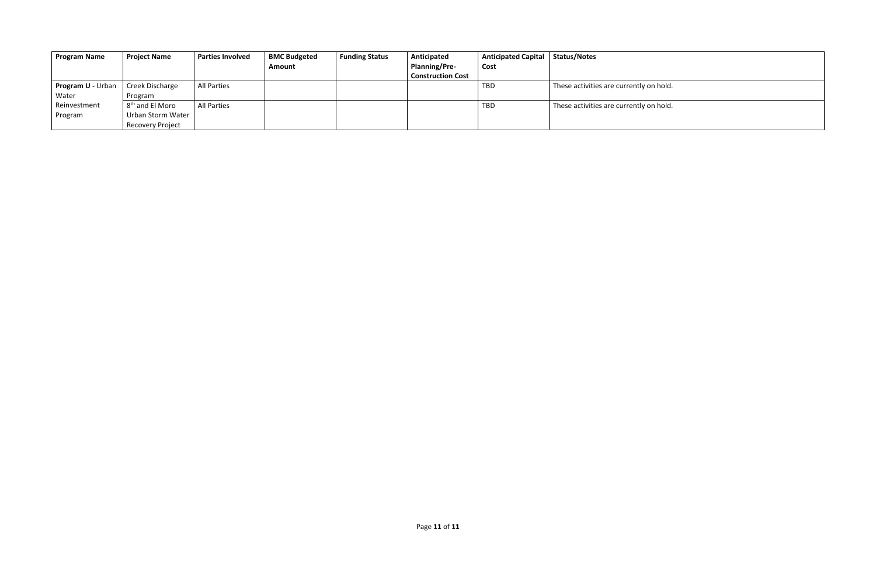y on hold.

 $T$ y on hold.

| <b>Program Name</b>      | <b>Project Name</b>         | <b>Parties Involved</b> | <b>BMC Budgeted</b> | <b>Funding Status</b> | Anticipated              | <b>Anticipated Capital</b> | <b>Status/Notes</b>            |
|--------------------------|-----------------------------|-------------------------|---------------------|-----------------------|--------------------------|----------------------------|--------------------------------|
|                          |                             |                         | <b>Amount</b>       |                       | <b>Planning/Pre-</b>     | Cost                       |                                |
|                          |                             |                         |                     |                       | <b>Construction Cost</b> |                            |                                |
| <b>Program U - Urban</b> | Creek Discharge             | All Parties             |                     |                       |                          | TBD.                       | These activities are currently |
| Water                    | Program                     |                         |                     |                       |                          |                            |                                |
| Reinvestment             | 8 <sup>th</sup> and El Moro | All Parties             |                     |                       |                          | TBD                        | These activities are currently |
| Program                  | Urban Storm Water           |                         |                     |                       |                          |                            |                                |
|                          | <b>Recovery Project</b>     |                         |                     |                       |                          |                            |                                |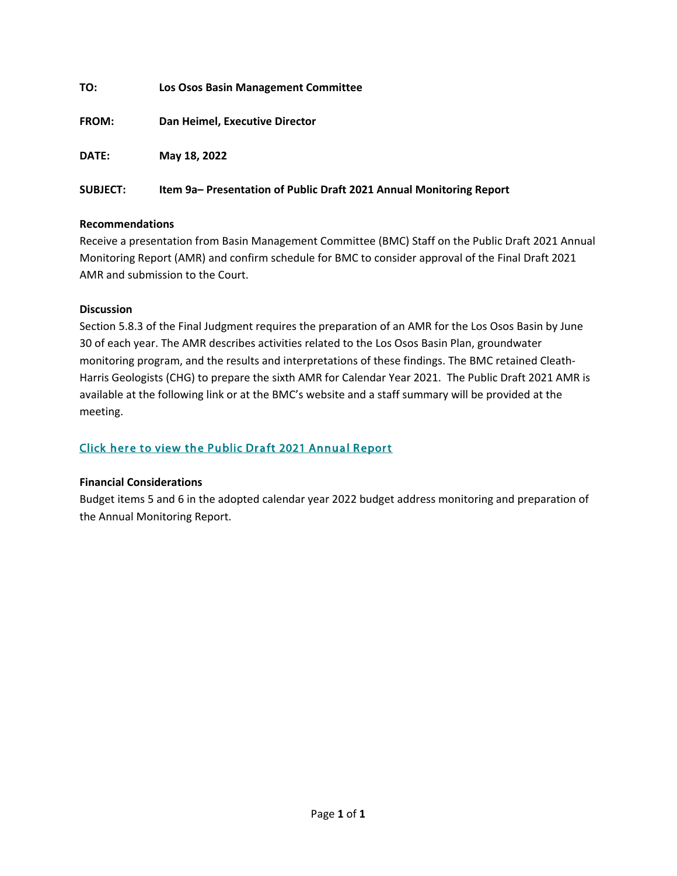| TO:             | <b>Los Osos Basin Management Committee</b>                         |
|-----------------|--------------------------------------------------------------------|
| <b>FROM:</b>    | Dan Heimel, Executive Director                                     |
| <b>DATE:</b>    | May 18, 2022                                                       |
| <b>SUBJECT:</b> | Item 9a-Presentation of Public Draft 2021 Annual Monitoring Report |

## **Recommendations**

Receive a presentation from Basin Management Committee (BMC) Staff on the Public Draft 2021 Annual Monitoring Report (AMR) and confirm schedule for BMC to consider approval of the Final Draft 2021 AMR and submission to the Court.

## **Discussion**

Section 5.8.3 of the Final Judgment requires the preparation of an AMR for the Los Osos Basin by June 30 of each year. The AMR describes activities related to the Los Osos Basin Plan, groundwater monitoring program, and the results and interpretations of these findings. The BMC retained Cleath-Harris Geologists (CHG) to prepare the sixth AMR for Calendar Year 2021. The Public Draft 2021 AMR is available at the following link or at the BMC's website and a staff summary will be provided at the meeting.

# [Click here to view the Public Draft 2021 Annual Report](https://slocounty.us12.list-manage.com/track/click?u=f8ceb6488bc19ab4d93011ac7&id=6ece850b2f&e=ab78eb5958)

#### **Financial Considerations**

Budget items 5 and 6 in the adopted calendar year 2022 budget address monitoring and preparation of the Annual Monitoring Report.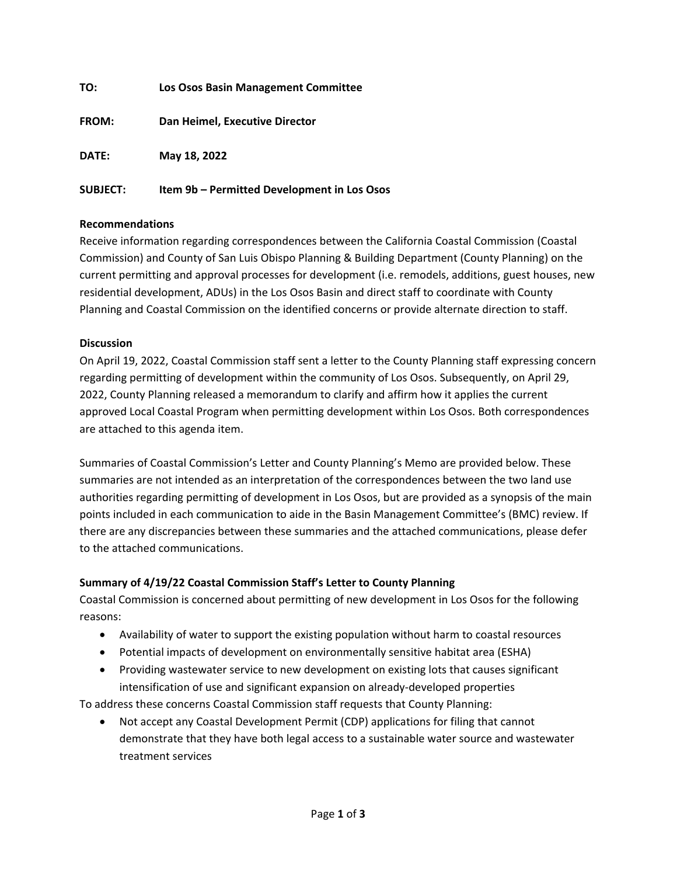| TO:             | Los Osos Basin Management Committee         |
|-----------------|---------------------------------------------|
| <b>FROM:</b>    | Dan Heimel, Executive Director              |
| DATE:           | May 18, 2022                                |
| <b>SUBJECT:</b> | Item 9b – Permitted Development in Los Osos |

# **Recommendations**

Receive information regarding correspondences between the California Coastal Commission (Coastal Commission) and County of San Luis Obispo Planning & Building Department (County Planning) on the current permitting and approval processes for development (i.e. remodels, additions, guest houses, new residential development, ADUs) in the Los Osos Basin and direct staff to coordinate with County Planning and Coastal Commission on the identified concerns or provide alternate direction to staff.

## **Discussion**

On April 19, 2022, Coastal Commission staff sent a letter to the County Planning staff expressing concern regarding permitting of development within the community of Los Osos. Subsequently, on April 29, 2022, County Planning released a memorandum to clarify and affirm how it applies the current approved Local Coastal Program when permitting development within Los Osos. Both correspondences are attached to this agenda item.

Summaries of Coastal Commission's Letter and County Planning's Memo are provided below. These summaries are not intended as an interpretation of the correspondences between the two land use authorities regarding permitting of development in Los Osos, but are provided as a synopsis of the main points included in each communication to aide in the Basin Management Committee's (BMC) review. If there are any discrepancies between these summaries and the attached communications, please defer to the attached communications.

## **Summary of 4/19/22 Coastal Commission Staff's Letter to County Planning**

Coastal Commission is concerned about permitting of new development in Los Osos for the following reasons:

- Availability of water to support the existing population without harm to coastal resources
- Potential impacts of development on environmentally sensitive habitat area (ESHA)
- Providing wastewater service to new development on existing lots that causes significant intensification of use and significant expansion on already-developed properties

To address these concerns Coastal Commission staff requests that County Planning:

• Not accept any Coastal Development Permit (CDP) applications for filing that cannot demonstrate that they have both legal access to a sustainable water source and wastewater treatment services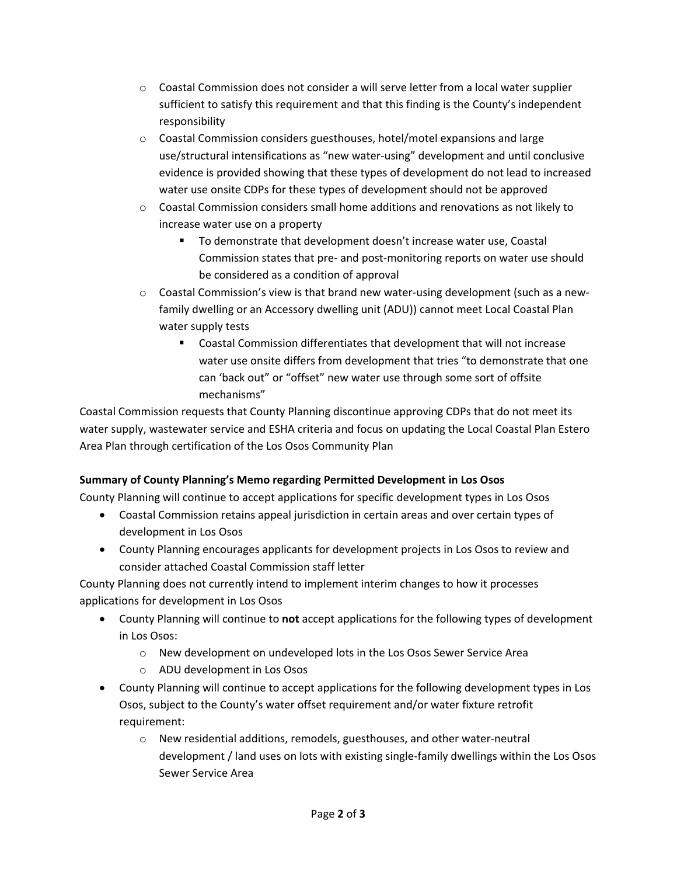- $\circ$  Coastal Commission does not consider a will serve letter from a local water supplier sufficient to satisfy this requirement and that this finding is the County's independent responsibility
- o Coastal Commission considers guesthouses, hotel/motel expansions and large use/structural intensifications as "new water-using" development and until conclusive evidence is provided showing that these types of development do not lead to increased water use onsite CDPs for these types of development should not be approved
- $\circ$  Coastal Commission considers small home additions and renovations as not likely to increase water use on a property
	- To demonstrate that development doesn't increase water use, Coastal Commission states that pre- and post-monitoring reports on water use should be considered as a condition of approval
- $\circ$  Coastal Commission's view is that brand new water-using development (such as a newfamily dwelling or an Accessory dwelling unit (ADU)) cannot meet Local Coastal Plan water supply tests
	- Coastal Commission differentiates that development that will not increase water use onsite differs from development that tries "to demonstrate that one can 'back out" or "offset" new water use through some sort of offsite mechanisms"

Coastal Commission requests that County Planning discontinue approving CDPs that do not meet its water supply, wastewater service and ESHA criteria and focus on updating the Local Coastal Plan Estero Area Plan through certification of the Los Osos Community Plan

# **Summary of County Planning's Memo regarding Permitted Development in Los Osos**

County Planning will continue to accept applications for specific development types in Los Osos

- Coastal Commission retains appeal jurisdiction in certain areas and over certain types of development in Los Osos
- County Planning encourages applicants for development projects in Los Osos to review and consider attached Coastal Commission staff letter

County Planning does not currently intend to implement interim changes to how it processes applications for development in Los Osos

- County Planning will continue to **not** accept applications for the following types of development in Los Osos:
	- o New development on undeveloped lots in the Los Osos Sewer Service Area
	- o ADU development in Los Osos
- County Planning will continue to accept applications for the following development types in Los Osos, subject to the County's water offset requirement and/or water fixture retrofit requirement:
	- o New residential additions, remodels, guesthouses, and other water-neutral development / land uses on lots with existing single-family dwellings within the Los Osos Sewer Service Area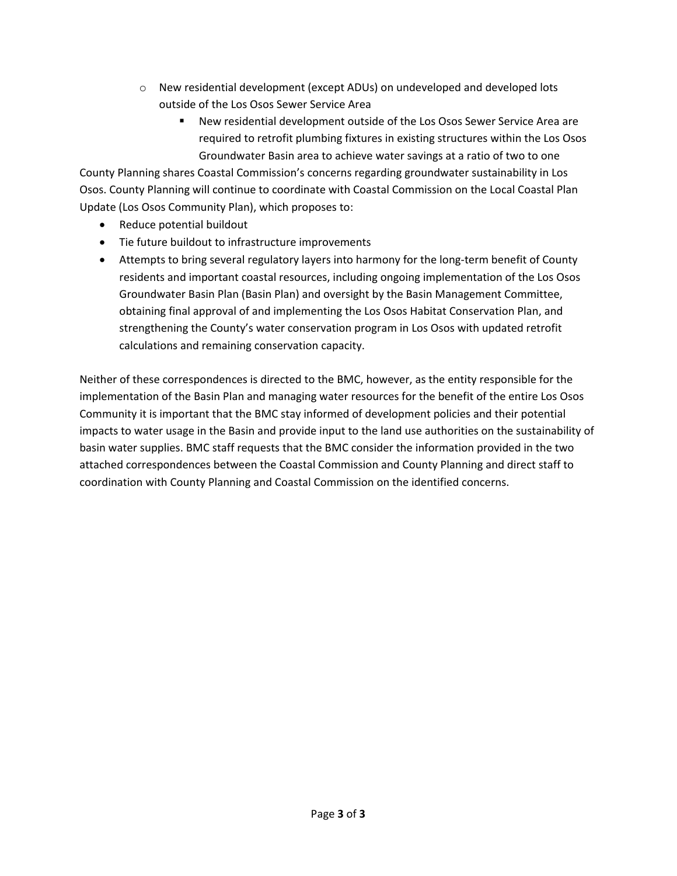- o New residential development (except ADUs) on undeveloped and developed lots outside of the Los Osos Sewer Service Area
	- New residential development outside of the Los Osos Sewer Service Area are required to retrofit plumbing fixtures in existing structures within the Los Osos Groundwater Basin area to achieve water savings at a ratio of two to one

County Planning shares Coastal Commission's concerns regarding groundwater sustainability in Los Osos. County Planning will continue to coordinate with Coastal Commission on the Local Coastal Plan Update (Los Osos Community Plan), which proposes to:

- Reduce potential buildout
- Tie future buildout to infrastructure improvements
- Attempts to bring several regulatory layers into harmony for the long-term benefit of County residents and important coastal resources, including ongoing implementation of the Los Osos Groundwater Basin Plan (Basin Plan) and oversight by the Basin Management Committee, obtaining final approval of and implementing the Los Osos Habitat Conservation Plan, and strengthening the County's water conservation program in Los Osos with updated retrofit calculations and remaining conservation capacity.

Neither of these correspondences is directed to the BMC, however, as the entity responsible for the implementation of the Basin Plan and managing water resources for the benefit of the entire Los Osos Community it is important that the BMC stay informed of development policies and their potential impacts to water usage in the Basin and provide input to the land use authorities on the sustainability of basin water supplies. BMC staff requests that the BMC consider the information provided in the two attached correspondences between the Coastal Commission and County Planning and direct staff to coordination with County Planning and Coastal Commission on the identified concerns.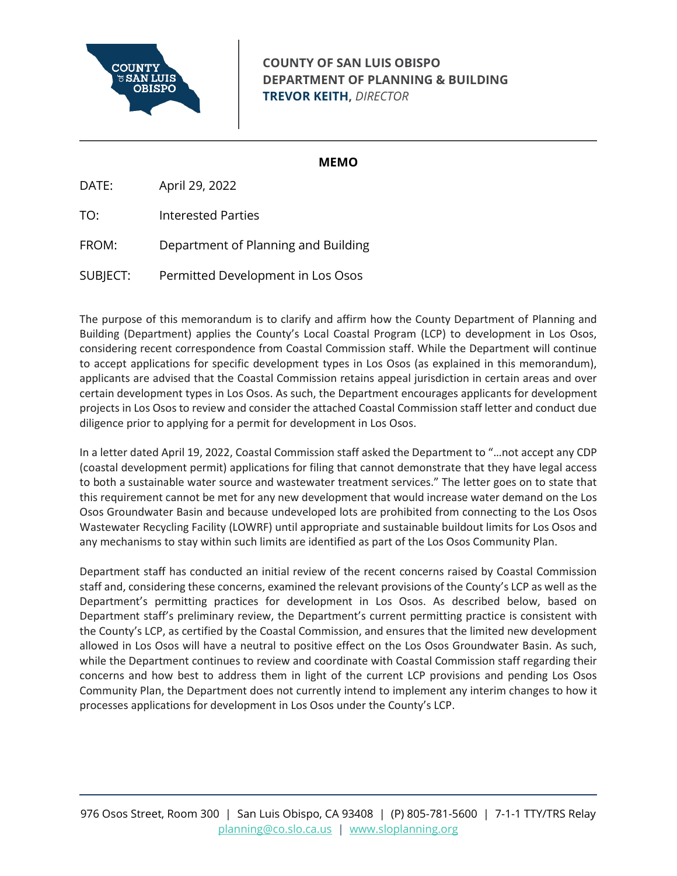

# **COUNTY OF SAN LUIS OBISPO DEPARTMENT OF PLANNING & BUILDING TREVOR KEITH,** *DIRECTOR*

## **MEMO**

DATE: April 29, 2022

TO: Interested Parties

FROM: Department of Planning and Building

SUBJECT: Permitted Development in Los Osos

The purpose of this memorandum is to clarify and affirm how the County Department of Planning and Building (Department) applies the County's Local Coastal Program (LCP) to development in Los Osos, considering recent correspondence from Coastal Commission staff. While the Department will continue to accept applications for specific development types in Los Osos (as explained in this memorandum), applicants are advised that the Coastal Commission retains appeal jurisdiction in certain areas and over certain development types in Los Osos. As such, the Department encourages applicants for development projects in Los Osos to review and consider the attached Coastal Commission staff letter and conduct due diligence prior to applying for a permit for development in Los Osos.

In a letter dated April 19, 2022, Coastal Commission staff asked the Department to "…not accept any CDP (coastal development permit) applications for filing that cannot demonstrate that they have legal access to both a sustainable water source and wastewater treatment services." The letter goes on to state that this requirement cannot be met for any new development that would increase water demand on the Los Osos Groundwater Basin and because undeveloped lots are prohibited from connecting to the Los Osos Wastewater Recycling Facility (LOWRF) until appropriate and sustainable buildout limits for Los Osos and any mechanisms to stay within such limits are identified as part of the Los Osos Community Plan.

Department staff has conducted an initial review of the recent concerns raised by Coastal Commission staff and, considering these concerns, examined the relevant provisions of the County's LCP as well as the Department's permitting practices for development in Los Osos. As described below, based on Department staff's preliminary review, the Department's current permitting practice is consistent with the County's LCP, as certified by the Coastal Commission, and ensures that the limited new development allowed in Los Osos will have a neutral to positive effect on the Los Osos Groundwater Basin. As such, while the Department continues to review and coordinate with Coastal Commission staff regarding their concerns and how best to address them in light of the current LCP provisions and pending Los Osos Community Plan, the Department does not currently intend to implement any interim changes to how it processes applications for development in Los Osos under the County's LCP.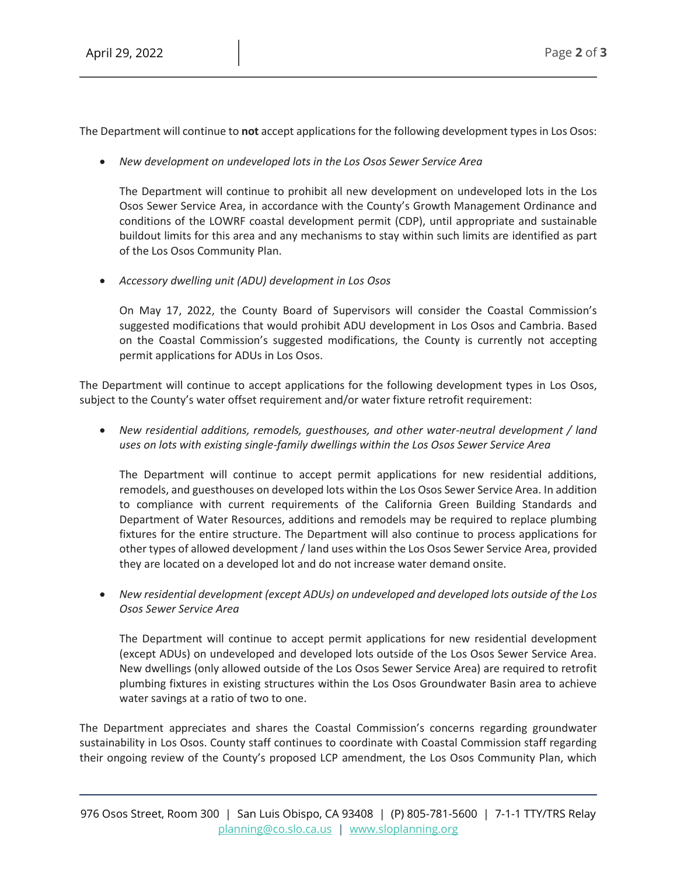The Department will continue to **not** accept applications for the following development types in Los Osos:

• *New development on undeveloped lots in the Los Osos Sewer Service Area*

The Department will continue to prohibit all new development on undeveloped lots in the Los Osos Sewer Service Area, in accordance with the County's Growth Management Ordinance and conditions of the LOWRF coastal development permit (CDP), until appropriate and sustainable buildout limits for this area and any mechanisms to stay within such limits are identified as part of the Los Osos Community Plan.

• *Accessory dwelling unit (ADU) development in Los Osos*

On May 17, 2022, the County Board of Supervisors will consider the Coastal Commission's suggested modifications that would prohibit ADU development in Los Osos and Cambria. Based on the Coastal Commission's suggested modifications, the County is currently not accepting permit applications for ADUs in Los Osos.

The Department will continue to accept applications for the following development types in Los Osos, subject to the County's water offset requirement and/or water fixture retrofit requirement:

• *New residential additions, remodels, guesthouses, and other water-neutral development / land uses on lots with existing single-family dwellings within the Los Osos Sewer Service Area*

The Department will continue to accept permit applications for new residential additions, remodels, and guesthouses on developed lots within the Los Osos Sewer Service Area. In addition to compliance with current requirements of the California Green Building Standards and Department of Water Resources, additions and remodels may be required to replace plumbing fixtures for the entire structure. The Department will also continue to process applications for other types of allowed development / land uses within the Los Osos Sewer Service Area, provided they are located on a developed lot and do not increase water demand onsite.

• *New residential development (except ADUs) on undeveloped and developed lots outside of the Los Osos Sewer Service Area*

The Department will continue to accept permit applications for new residential development (except ADUs) on undeveloped and developed lots outside of the Los Osos Sewer Service Area. New dwellings (only allowed outside of the Los Osos Sewer Service Area) are required to retrofit plumbing fixtures in existing structures within the Los Osos Groundwater Basin area to achieve water savings at a ratio of two to one.

The Department appreciates and shares the Coastal Commission's concerns regarding groundwater sustainability in Los Osos. County staff continues to coordinate with Coastal Commission staff regarding their ongoing review of the County's proposed LCP amendment, the Los Osos Community Plan, which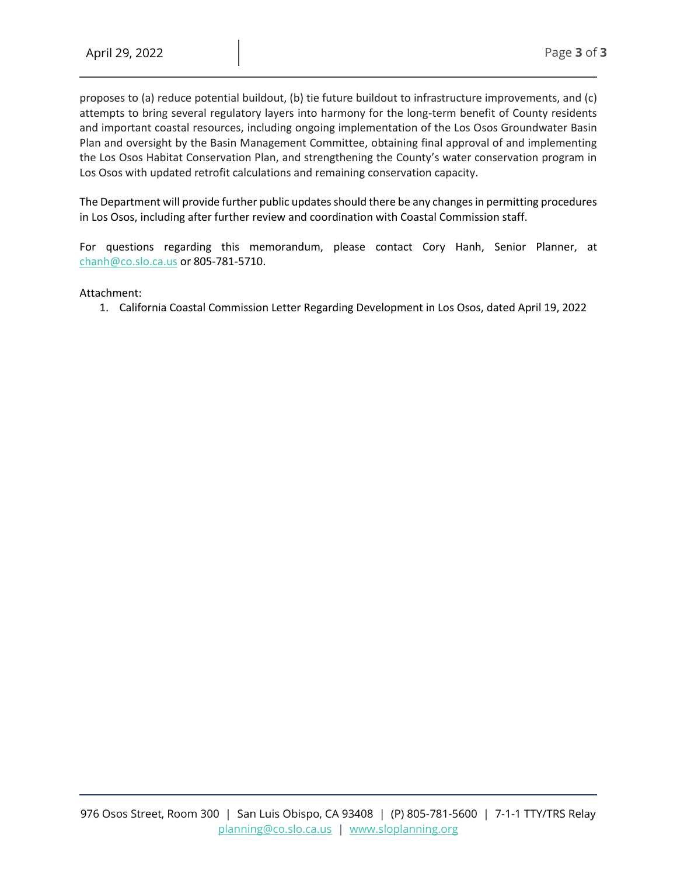proposes to (a) reduce potential buildout, (b) tie future buildout to infrastructure improvements, and (c) attempts to bring several regulatory layers into harmony for the long-term benefit of County residents and important coastal resources, including ongoing implementation of the Los Osos Groundwater Basin Plan and oversight by the Basin Management Committee, obtaining final approval of and implementing the Los Osos Habitat Conservation Plan, and strengthening the County's water conservation program in Los Osos with updated retrofit calculations and remaining conservation capacity.

The Department will provide further public updates should there be any changes in permitting procedures in Los Osos, including after further review and coordination with Coastal Commission staff.

For questions regarding this memorandum, please contact Cory Hanh, Senior Planner, at [chanh@co.slo.ca.us](mailto:chanh@co.slo.ca.us) or 805-781-5710.

#### Attachment:

1. California Coastal Commission Letter Regarding Development in Los Osos, dated April 19, 2022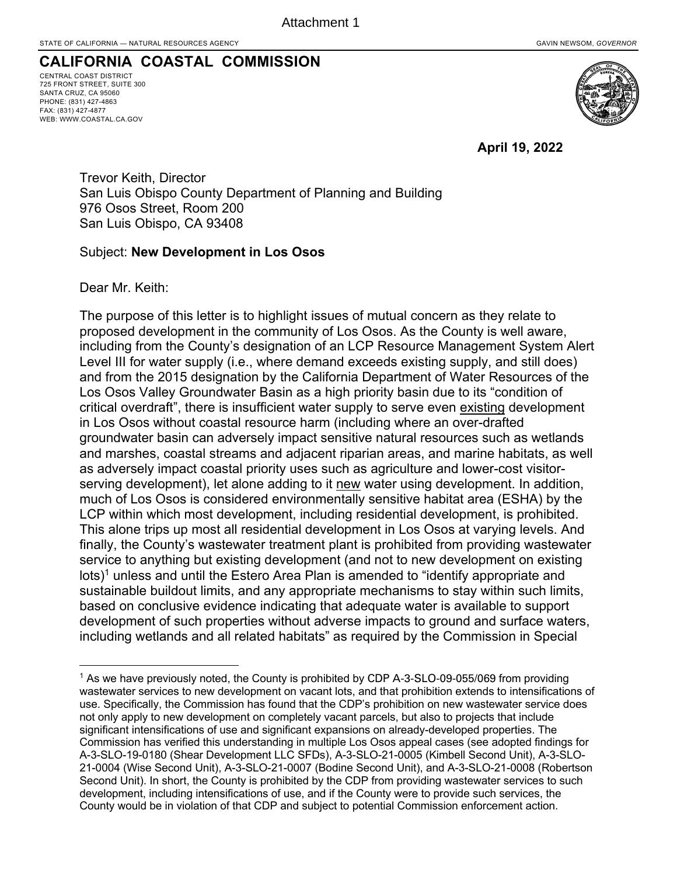# **CALIFORNIA COASTAL COMMISSION**

CENTRAL COAST DISTRICT 725 FRONT STREET, SUITE 300 SANTA CRUZ, CA 95060 PHONE: (831) 427-4863 FAX: (831) 427-4877 WEB: WWW.COASTAL.CA.GOV



**April 19, 2022**

Trevor Keith, Director San Luis Obispo County Department of Planning and Building 976 Osos Street, Room 200 San Luis Obispo, CA 93408

## Subject: **New Development in Los Osos**

Dear Mr. Keith:

The purpose of this letter is to highlight issues of mutual concern as they relate to proposed development in the community of Los Osos. As the County is well aware, including from the County's designation of an LCP Resource Management System Alert Level III for water supply (i.e., where demand exceeds existing supply, and still does) and from the 2015 designation by the California Department of Water Resources of the Los Osos Valley Groundwater Basin as a high priority basin due to its "condition of critical overdraft", there is insufficient water supply to serve even existing development in Los Osos without coastal resource harm (including where an over-drafted groundwater basin can adversely impact sensitive natural resources such as wetlands and marshes, coastal streams and adjacent riparian areas, and marine habitats, as well as adversely impact coastal priority uses such as agriculture and lower-cost visitorserving development), let alone adding to it new water using development. In addition, much of Los Osos is considered environmentally sensitive habitat area (ESHA) by the LCP within which most development, including residential development, is prohibited. This alone trips up most all residential development in Los Osos at varying levels. And finally, the County's wastewater treatment plant is prohibited from providing wastewater service to anything but existing development (and not to new development on existing lots)<sup>1</sup> unless and until the Estero Area Plan is amended to "identify appropriate and sustainable buildout limits, and any appropriate mechanisms to stay within such limits, based on conclusive evidence indicating that adequate water is available to support development of such properties without adverse impacts to ground and surface waters, including wetlands and all related habitats" as required by the Commission in Special

<sup>1</sup> As we have previously noted, the County is prohibited by CDP A-3-SLO-09-055/069 from providing wastewater services to new development on vacant lots, and that prohibition extends to intensifications of use. Specifically, the Commission has found that the CDP's prohibition on new wastewater service does not only apply to new development on completely vacant parcels, but also to projects that include significant intensifications of use and significant expansions on already-developed properties. The Commission has verified this understanding in multiple Los Osos appeal cases (see adopted findings for A-3-SLO-19-0180 (Shear Development LLC SFDs), A-3-SLO-21-0005 (Kimbell Second Unit), A-3-SLO-21-0004 (Wise Second Unit), A-3-SLO-21-0007 (Bodine Second Unit), and A-3-SLO-21-0008 (Robertson Second Unit). In short, the County is prohibited by the CDP from providing wastewater services to such development, including intensifications of use, and if the County were to provide such services, the County would be in violation of that CDP and subject to potential Commission enforcement action.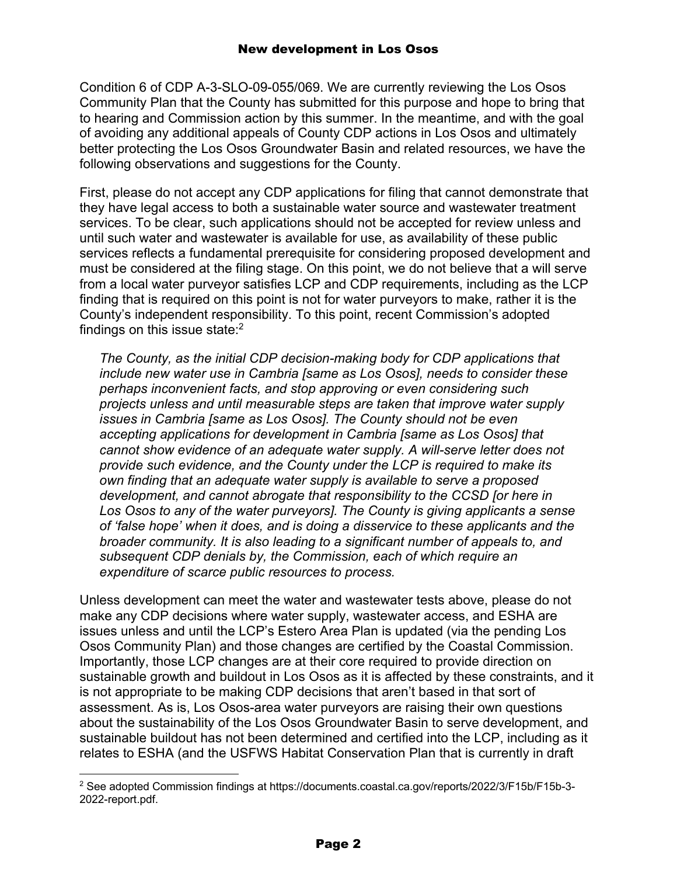Condition 6 of CDP A-3-SLO-09-055/069. We are currently reviewing the Los Osos Community Plan that the County has submitted for this purpose and hope to bring that to hearing and Commission action by this summer. In the meantime, and with the goal of avoiding any additional appeals of County CDP actions in Los Osos and ultimately better protecting the Los Osos Groundwater Basin and related resources, we have the following observations and suggestions for the County.

First, please do not accept any CDP applications for filing that cannot demonstrate that they have legal access to both a sustainable water source and wastewater treatment services. To be clear, such applications should not be accepted for review unless and until such water and wastewater is available for use, as availability of these public services reflects a fundamental prerequisite for considering proposed development and must be considered at the filing stage. On this point, we do not believe that a will serve from a local water purveyor satisfies LCP and CDP requirements, including as the LCP finding that is required on this point is not for water purveyors to make, rather it is the County's independent responsibility. To this point, recent Commission's adopted findings on this issue state: $2$ 

*The County, as the initial CDP decision-making body for CDP applications that include new water use in Cambria [same as Los Osos], needs to consider these perhaps inconvenient facts, and stop approving or even considering such projects unless and until measurable steps are taken that improve water supply issues in Cambria [same as Los Osos]. The County should not be even accepting applications for development in Cambria [same as Los Osos] that cannot show evidence of an adequate water supply. A will-serve letter does not provide such evidence, and the County under the LCP is required to make its own finding that an adequate water supply is available to serve a proposed development, and cannot abrogate that responsibility to the CCSD [or here in*  Los Osos to any of the water purveyors]. The County is giving applicants a sense *of 'false hope' when it does, and is doing a disservice to these applicants and the broader community. It is also leading to a significant number of appeals to, and subsequent CDP denials by, the Commission, each of which require an expenditure of scarce public resources to process.*

Unless development can meet the water and wastewater tests above, please do not make any CDP decisions where water supply, wastewater access, and ESHA are issues unless and until the LCP's Estero Area Plan is updated (via the pending Los Osos Community Plan) and those changes are certified by the Coastal Commission. Importantly, those LCP changes are at their core required to provide direction on sustainable growth and buildout in Los Osos as it is affected by these constraints, and it is not appropriate to be making CDP decisions that aren't based in that sort of assessment. As is, Los Osos-area water purveyors are raising their own questions about the sustainability of the Los Osos Groundwater Basin to serve development, and sustainable buildout has not been determined and certified into the LCP, including as it relates to ESHA (and the USFWS Habitat Conservation Plan that is currently in draft

<sup>2</sup> See adopted Commission findings at https://documents.coastal.ca.gov/reports/2022/3/F15b/F15b-3- 2022-report.pdf.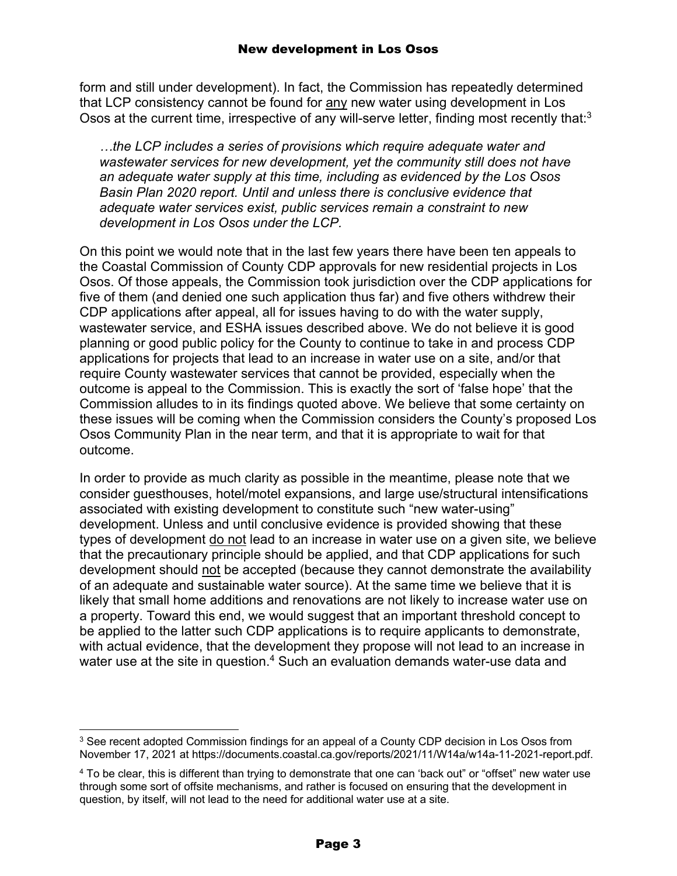form and still under development). In fact, the Commission has repeatedly determined that LCP consistency cannot be found for any new water using development in Los Osos at the current time, irrespective of any will-serve letter, finding most recently that:<sup>3</sup>

*…the LCP includes a series of provisions which require adequate water and wastewater services for new development, yet the community still does not have an adequate water supply at this time, including as evidenced by the Los Osos Basin Plan 2020 report. Until and unless there is conclusive evidence that adequate water services exist, public services remain a constraint to new development in Los Osos under the LCP.*

On this point we would note that in the last few years there have been ten appeals to the Coastal Commission of County CDP approvals for new residential projects in Los Osos. Of those appeals, the Commission took jurisdiction over the CDP applications for five of them (and denied one such application thus far) and five others withdrew their CDP applications after appeal, all for issues having to do with the water supply, wastewater service, and ESHA issues described above. We do not believe it is good planning or good public policy for the County to continue to take in and process CDP applications for projects that lead to an increase in water use on a site, and/or that require County wastewater services that cannot be provided, especially when the outcome is appeal to the Commission. This is exactly the sort of 'false hope' that the Commission alludes to in its findings quoted above. We believe that some certainty on these issues will be coming when the Commission considers the County's proposed Los Osos Community Plan in the near term, and that it is appropriate to wait for that outcome.

In order to provide as much clarity as possible in the meantime, please note that we consider guesthouses, hotel/motel expansions, and large use/structural intensifications associated with existing development to constitute such "new water-using" development. Unless and until conclusive evidence is provided showing that these types of development do not lead to an increase in water use on a given site, we believe that the precautionary principle should be applied, and that CDP applications for such development should not be accepted (because they cannot demonstrate the availability of an adequate and sustainable water source). At the same time we believe that it is likely that small home additions and renovations are not likely to increase water use on a property. Toward this end, we would suggest that an important threshold concept to be applied to the latter such CDP applications is to require applicants to demonstrate, with actual evidence, that the development they propose will not lead to an increase in water use at the site in question.<sup>4</sup> Such an evaluation demands water-use data and

 $3$  See recent adopted Commission findings for an appeal of a County CDP decision in Los Osos from November 17, 2021 at https://documents.coastal.ca.gov/reports/2021/11/W14a/w14a-11-2021-report.pdf.

<sup>4</sup> To be clear, this is different than trying to demonstrate that one can 'back out" or "offset" new water use through some sort of offsite mechanisms, and rather is focused on ensuring that the development in question, by itself, will not lead to the need for additional water use at a site.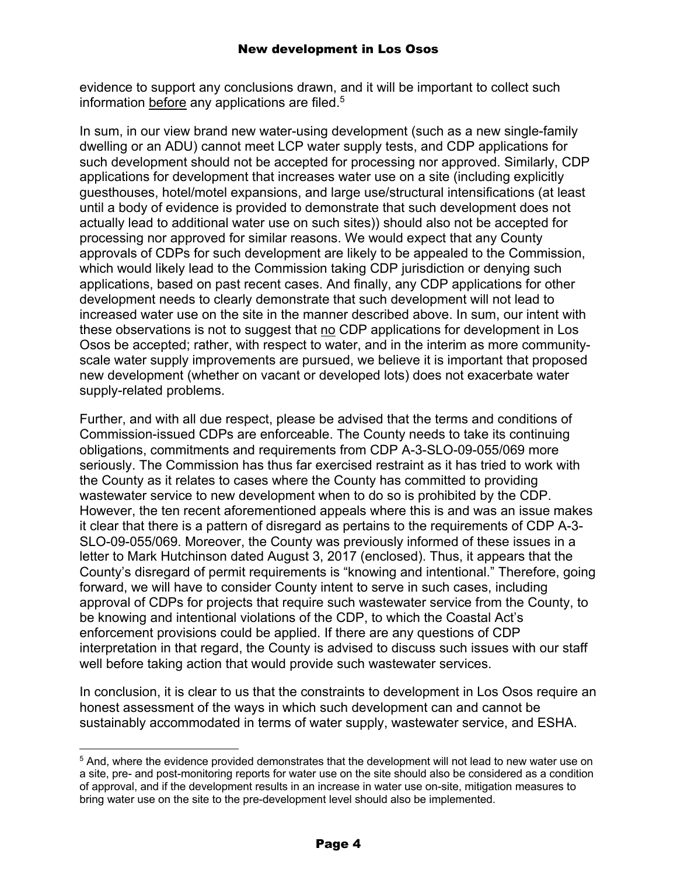evidence to support any conclusions drawn, and it will be important to collect such information before any applications are filed.<sup>5</sup>

In sum, in our view brand new water-using development (such as a new single-family dwelling or an ADU) cannot meet LCP water supply tests, and CDP applications for such development should not be accepted for processing nor approved. Similarly, CDP applications for development that increases water use on a site (including explicitly guesthouses, hotel/motel expansions, and large use/structural intensifications (at least until a body of evidence is provided to demonstrate that such development does not actually lead to additional water use on such sites)) should also not be accepted for processing nor approved for similar reasons. We would expect that any County approvals of CDPs for such development are likely to be appealed to the Commission, which would likely lead to the Commission taking CDP jurisdiction or denying such applications, based on past recent cases. And finally, any CDP applications for other development needs to clearly demonstrate that such development will not lead to increased water use on the site in the manner described above. In sum, our intent with these observations is not to suggest that no CDP applications for development in Los Osos be accepted; rather, with respect to water, and in the interim as more communityscale water supply improvements are pursued, we believe it is important that proposed new development (whether on vacant or developed lots) does not exacerbate water supply-related problems.

Further, and with all due respect, please be advised that the terms and conditions of Commission-issued CDPs are enforceable. The County needs to take its continuing obligations, commitments and requirements from CDP A-3-SLO-09-055/069 more seriously. The Commission has thus far exercised restraint as it has tried to work with the County as it relates to cases where the County has committed to providing wastewater service to new development when to do so is prohibited by the CDP. However, the ten recent aforementioned appeals where this is and was an issue makes it clear that there is a pattern of disregard as pertains to the requirements of CDP A-3- SLO-09-055/069. Moreover, the County was previously informed of these issues in a letter to Mark Hutchinson dated August 3, 2017 (enclosed). Thus, it appears that the County's disregard of permit requirements is "knowing and intentional." Therefore, going forward, we will have to consider County intent to serve in such cases, including approval of CDPs for projects that require such wastewater service from the County, to be knowing and intentional violations of the CDP, to which the Coastal Act's enforcement provisions could be applied. If there are any questions of CDP interpretation in that regard, the County is advised to discuss such issues with our staff well before taking action that would provide such wastewater services.

In conclusion, it is clear to us that the constraints to development in Los Osos require an honest assessment of the ways in which such development can and cannot be sustainably accommodated in terms of water supply, wastewater service, and ESHA.

<sup>5</sup> And, where the evidence provided demonstrates that the development will not lead to new water use on a site, pre- and post-monitoring reports for water use on the site should also be considered as a condition of approval, and if the development results in an increase in water use on-site, mitigation measures to bring water use on the site to the pre-development level should also be implemented.